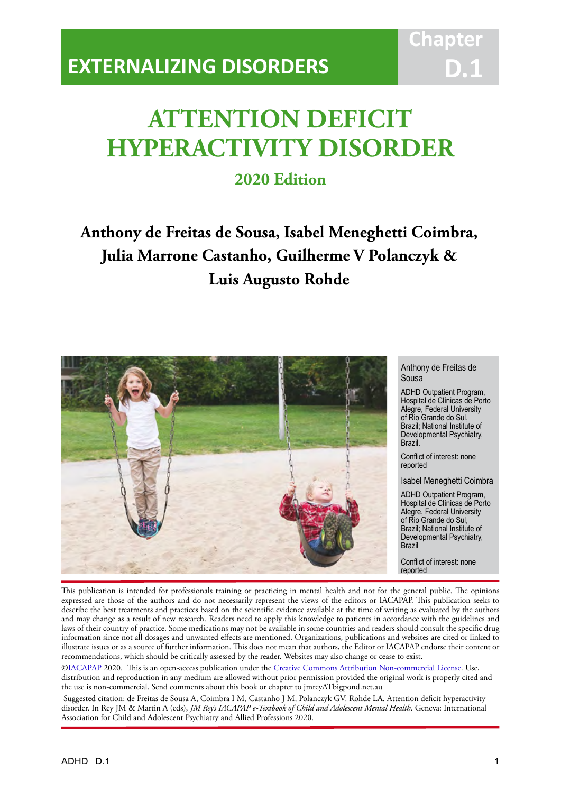# **ATTENTION DEFICIT HYPERACTIVITY DISORDER**

IACAPAP Textbook of Child and Adolescent Mental Health

## **2020 Edition**

**Anthony de Freitas de Sousa, Isabel Meneghetti Coimbra, Julia Marrone Castanho, Guilherme V Polanczyk & Luis Augusto Rohde**



Anthony de Freitas de Sousa

**Chapter**

**D.1**

ADHD Outpatient Program, Hospital de Clínicas de Porto Alegre, Federal University of Rio Grande do Sul, Brazil; National Institute of Developmental Psychiatry, Brazil.

Conflict of interest: none reported

Isabel Meneghetti Coimbra

ADHD Outpatient Program, Hospital de Clínicas de Porto Alegre, Federal University of Rio Grande do Sul, Brazil; National Institute of Developmental Psychiatry, Brazil

Conflict of interest: none reported

This publication is intended for professionals training or practicing in mental health and not for the general public. The opinions expressed are those of the authors and do not necessarily represent the views of the editors or IACAPAP. This publication seeks to describe the best treatments and practices based on the scientific evidence available at the time of writing as evaluated by the authors and may change as a result of new research. Readers need to apply this knowledge to patients in accordance with the guidelines and laws of their country of practice. Some medications may not be available in some countries and readers should consult the specific drug information since not all dosages and unwanted effects are mentioned. Organizations, publications and websites are cited or linked to illustrate issues or as a source of further information. This does not mean that authors, the Editor or IACAPAP endorse their content or recommendations, which should be critically assessed by the reader. Websites may also change or cease to exist.

[©IACAPAP](http://iacapap.org/) 2020. This is an open-access publication under the [Creative Commons Attribution Non-commercial License](http://creativecommons.org/licenses/by-nc/2.0/). Use, distribution and reproduction in any medium are allowed without prior permission provided the original work is properly cited and the use is non-commercial. Send comments about this book or chapter to jmreyATbigpond.net.au

 Suggested citation: de Freitas de Sousa A, Coimbra I M, Castanho J M, Polanczyk GV, Rohde LA. Attention deficit hyperactivity disorder. In Rey JM & Martin A (eds), *JM Rey's IACAPAP e-Textbook of Child and Adolescent Mental Health*. Geneva: International Association for Child and Adolescent Psychiatry and Allied Professions 2020.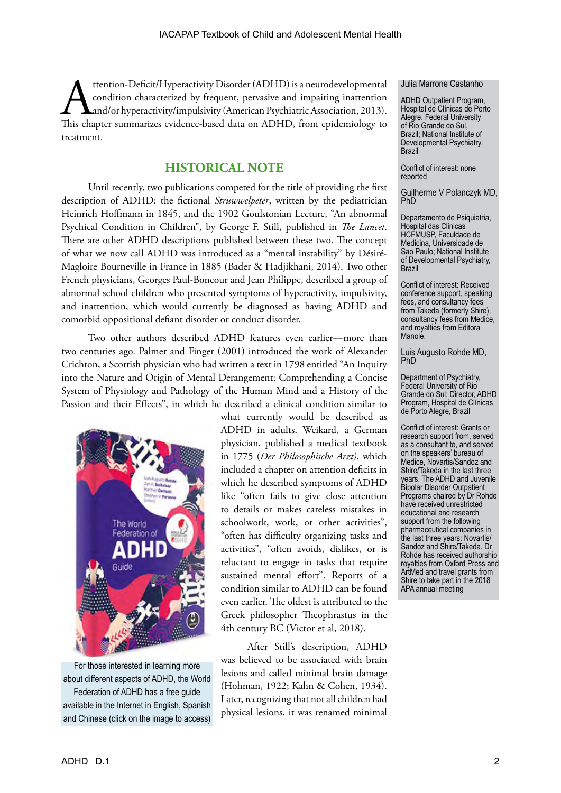ttention-Deficit/Hyperactivity Disorder (ADHD) is a neurodevelopmental<br>condition characterized by frequent, pervasive and impairing inattention<br>and/or hyperactivity/impulsivity (American Psychiatric Association, 2013).<br>Thi condition characterized by frequent, pervasive and impairing inattention and/or hyperactivity/impulsivity (American Psychiatric Association, 2013). This chapter summarizes evidence-based data on ADHD, from epidemiology to treatment.

#### **HISTORICAL NOTE**

Until recently, two publications competed for the title of providing the first description of ADHD: the fictional *Struwwelpeter*, written by the pediatrician Heinrich Hoffmann in 1845, and the 1902 Goulstonian Lecture, "An abnormal Psychical Condition in Children", by George F. Still, published in *The Lancet*. There are other ADHD descriptions published between these two. The concept of what we now call ADHD was introduced as a "mental instability" by Désiré-Magloire Bourneville in France in 1885 (Bader & Hadjikhani, 2014). Two other French physicians, Georges Paul-Boncour and Jean Philippe, described a group of abnormal school children who presented symptoms of hyperactivity, impulsivity, and inattention, which would currently be diagnosed as having ADHD and comorbid oppositional defiant disorder or conduct disorder.

Two other authors described ADHD features even earlier—more than two centuries ago. Palmer and Finger (2001) introduced the work of Alexander Crichton, a Scottish physician who had written a text in 1798 entitled "An Inquiry into the Nature and Origin of Mental Derangement: Comprehending a Concise System of Physiology and Pathology of the Human Mind and a History of the Passion and their Effects", in which he described a clinical condition similar to



For those interested in learning more about different aspects of ADHD, the World Federation of ADHD has a free guide available in the Internet in English, Spanish and Chinese (click on the image to access) what currently would be described as ADHD in adults. Weikard, a German physician, published a medical textbook in 1775 (*Der Philosophische Arzt)*, which included a chapter on attention deficits in which he described symptoms of ADHD like "often fails to give close attention to details or makes careless mistakes in schoolwork, work, or other activities", "often has difficulty organizing tasks and activities", "often avoids, dislikes, or is reluctant to engage in tasks that require sustained mental effort". Reports of a condition similar to ADHD can be found even earlier. The oldest is attributed to the Greek philosopher Theophrastus in the 4th century BC (Victor et al, 2018).

After Still's description, ADHD was believed to be associated with brain lesions and called minimal brain damage (Hohman, 1922; Kahn & Cohen, 1934). Later, recognizing that not all children had physical lesions, it was renamed minimal

#### Julia Marrone Castanho

ADHD Outpatient Program, Hospital de Clínicas de Porto Alegre, Federal University of Rio Grande do Sul, Brazil; National Institute of Developmental Psychiatry, Brazil

Conflict of interest: none reported

Guilherme V Polanczyk MD, PhD

Departamento de Psiquiatria, Hospital das Clinicas HCFMUSP, Faculdade de Medicina, Universidade de Sao Paulo; National Institute of Developmental Psychiatry, Brazil

Conflict of interest: Received conference support, speaking fees, and consultancy fees from Takeda (formerly Shire), consultancy fees from Medice, and royalties from Editora Manole.

Luis Augusto Rohde MD, PhD

Department of Psychiatry, Federal University of Rio Grande do Sul; Director, ADHD Program, Hospital de Clínicas de Porto Alegre, Brazil

Conflict of interest: Grants or research support from, served as a consultant to, and served on the speakers' bureau of Medice, Novartis/Sandoz and Shire/Takeda in the last three years. The ADHD and Juvenile Bipolar Disorder Outpatient Programs chaired by Dr Rohde have received unrestricted educational and research support from the following pharmaceutical companies in the last three years: Novartis/ Sandoz and Shire/Takeda. Dr Rohde has received authorship royalties from Oxford Press and ArtMed and travel grants from Shire to take part in the 2018 APA annual meeting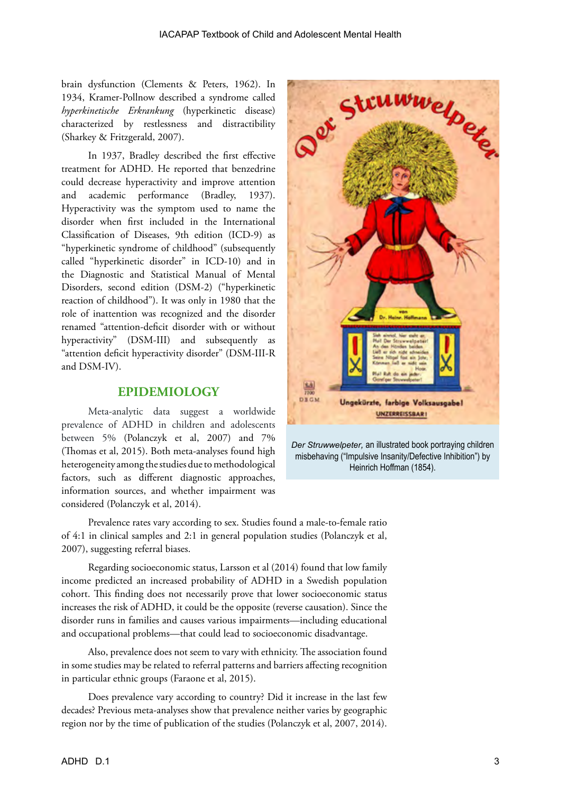brain dysfunction (Clements & Peters, 1962). In 1934, Kramer-Pollnow described a syndrome called *hyperkinetische Erkrankung* (hyperkinetic disease) characterized by restlessness and distractibility (Sharkey & Fritzgerald, 2007).

In 1937, Bradley described the first effective treatment for ADHD. He reported that benzedrine could decrease hyperactivity and improve attention and academic performance (Bradley, 1937). Hyperactivity was the symptom used to name the disorder when first included in the International Classification of Diseases, 9th edition (ICD-9) as "hyperkinetic syndrome of childhood" (subsequently called "hyperkinetic disorder" in ICD-10) and in the Diagnostic and Statistical Manual of Mental Disorders, second edition (DSM-2) ("hyperkinetic reaction of childhood"). It was only in 1980 that the role of inattention was recognized and the disorder renamed "attention-deficit disorder with or without hyperactivity" (DSM-III) and subsequently as "attention deficit hyperactivity disorder" (DSM-III-R and DSM-IV).

#### **EPIDEMIOLOGY**

Meta-analytic data suggest a worldwide prevalence of ADHD in children and adolescents between 5% (Polanczyk et al, 2007) and 7% (Thomas et al, 2015). Both meta-analyses found high heterogeneity among the studies due to methodological factors, such as different diagnostic approaches, information sources, and whether impairment was considered (Polanczyk et al, 2014).



*Der Struwwelpeter,* an illustrated book portraying children misbehaving ("Impulsive Insanity/Defective Inhibition") by Heinrich Hoffman (1854).

Prevalence rates vary according to sex. Studies found a male-to-female ratio of 4:1 in clinical samples and 2:1 in general population studies (Polanczyk et al, 2007), suggesting referral biases.

Regarding socioeconomic status, Larsson et al (2014) found that low family income predicted an increased probability of ADHD in a Swedish population cohort. This finding does not necessarily prove that lower socioeconomic status increases the risk of ADHD, it could be the opposite (reverse causation). Since the disorder runs in families and causes various impairments—including educational and occupational problems—that could lead to socioeconomic disadvantage.

Also, prevalence does not seem to vary with ethnicity. The association found in some studies may be related to referral patterns and barriers affecting recognition in particular ethnic groups (Faraone et al, 2015).

Does prevalence vary according to country? Did it increase in the last few decades? Previous meta-analyses show that prevalence neither varies by geographic region nor by the time of publication of the studies (Polanczyk et al, 2007, 2014).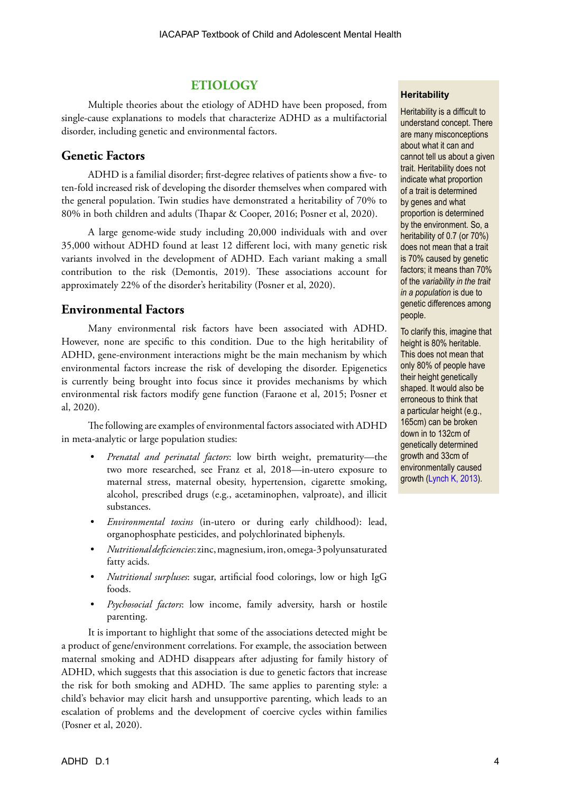## **ETIOLOGY**

Multiple theories about the etiology of ADHD have been proposed, from single-cause explanations to models that characterize ADHD as a multifactorial disorder, including genetic and environmental factors.

#### **Genetic Factors**

ADHD is a familial disorder; first-degree relatives of patients show a five- to ten-fold increased risk of developing the disorder themselves when compared with the general population. Twin studies have demonstrated a heritability of 70% to 80% in both children and adults (Thapar & Cooper, 2016; Posner et al, 2020).

A large genome-wide study including 20,000 individuals with and over 35,000 without ADHD found at least 12 different loci, with many genetic risk variants involved in the development of ADHD. Each variant making a small contribution to the risk (Demontis, 2019). These associations account for approximately 22% of the disorder's heritability (Posner et al, 2020).

## **Environmental Factors**

Many environmental risk factors have been associated with ADHD. However, none are specific to this condition. Due to the high heritability of ADHD, gene-environment interactions might be the main mechanism by which environmental factors increase the risk of developing the disorder. Epigenetics is currently being brought into focus since it provides mechanisms by which environmental risk factors modify gene function (Faraone et al, 2015; Posner et al, 2020).

The following are examples of environmental factors associated with ADHD in meta-analytic or large population studies:

- *• Prenatal and perinatal factors*: low birth weight, prematurity—the two more researched, see Franz et al, 2018—in-utero exposure to maternal stress, maternal obesity, hypertension, cigarette smoking, alcohol, prescribed drugs (e.g., acetaminophen, valproate), and illicit substances.
- *• Environmental toxins* (in-utero or during early childhood): lead, organophosphate pesticides, and polychlorinated biphenyls.
- *• Nutritional deficiencies*: zinc, magnesium, iron, omega-3 polyunsaturated fatty acids.
- *• Nutritional surpluses*: sugar, artificial food colorings, low or high IgG foods.
- *• Psychosocial factors*: low income, family adversity, harsh or hostile parenting.

It is important to highlight that some of the associations detected might be a product of gene/environment correlations. For example, the association between maternal smoking and ADHD disappears after adjusting for family history of ADHD, which suggests that this association is due to genetic factors that increase the risk for both smoking and ADHD. The same applies to parenting style: a child's behavior may elicit harsh and unsupportive parenting, which leads to an escalation of problems and the development of coercive cycles within families (Posner et al, 2020).

#### **Heritability**

Heritability is a difficult to understand concept. There are many misconceptions about what it can and cannot tell us about a given trait. Heritability does not indicate what proportion of a trait is determined by genes and what proportion is determined by the environment. So, a heritability of 0.7 (or 70%) does not mean that a trait is 70% caused by genetic factors; it means than 70% of the *variability in the trait in a population* is due to genetic differences among people.

To clarify this, imagine that height is 80% heritable. This does not mean that only 80% of people have their height genetically shaped. It would also be erroneous to think that a particular height (e.g., 165cm) can be broken down in to 132cm of genetically determined growth and 33cm of environmentally caused growth ([Lynch K, 2013](https://theconversation.com/explainer-what-is-heritability-21334)).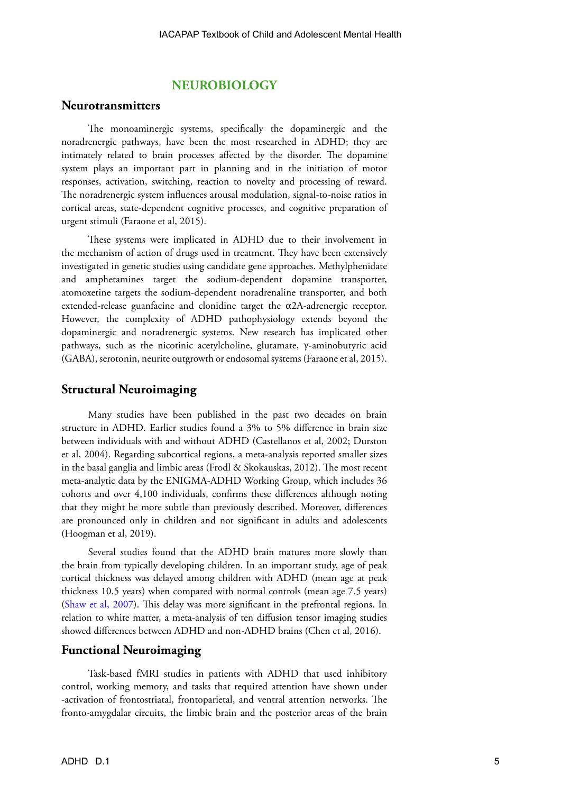#### **NEUROBIOLOGY**

#### **Neurotransmitters**

The monoaminergic systems, specifically the dopaminergic and the noradrenergic pathways, have been the most researched in ADHD; they are intimately related to brain processes affected by the disorder. The dopamine system plays an important part in planning and in the initiation of motor responses, activation, switching, reaction to novelty and processing of reward. The noradrenergic system influences arousal modulation, signal-to-noise ratios in cortical areas, state-dependent cognitive processes, and cognitive preparation of urgent stimuli (Faraone et al, 2015).

These systems were implicated in ADHD due to their involvement in the mechanism of action of drugs used in treatment. They have been extensively investigated in genetic studies using candidate gene approaches. Methylphenidate and amphetamines target the sodium-dependent dopamine transporter, atomoxetine targets the sodium-dependent noradrenaline transporter, and both extended-release guanfacine and clonidine target the  $\alpha$ 2A-adrenergic receptor. However, the complexity of ADHD pathophysiology extends beyond the dopaminergic and noradrenergic systems. New research has implicated other pathways, such as the nicotinic acetylcholine, glutamate, γ-aminobutyric acid (GABA), serotonin, neurite outgrowth or endosomal systems (Faraone et al, 2015).

#### **Structural Neuroimaging**

Many studies have been published in the past two decades on brain structure in ADHD. Earlier studies found a 3% to 5% difference in brain size between individuals with and without ADHD (Castellanos et al, 2002; Durston et al, 2004). Regarding subcortical regions, a meta-analysis reported smaller sizes in the basal ganglia and limbic areas (Frodl & Skokauskas, 2012). The most recent meta-analytic data by the ENIGMA-ADHD Working Group, which includes 36 cohorts and over 4,100 individuals, confirms these differences although noting that they might be more subtle than previously described. Moreover, differences are pronounced only in children and not significant in adults and adolescents (Hoogman et al, 2019).

Several studies found that the ADHD brain matures more slowly than the brain from typically developing children. In an important study, age of peak cortical thickness was delayed among children with ADHD (mean age at peak thickness 10.5 years) when compared with normal controls (mean age 7.5 years) ([Shaw et al, 2007\)](https://www.pnas.org/content/pnas/104/49/19649.full.pdf?gca=0707741104v1&sendit=Get%20All%20Checked%20Abstract%252528s%252529). This delay was more significant in the prefrontal regions. In relation to white matter, a meta-analysis of ten diffusion tensor imaging studies showed differences between ADHD and non-ADHD brains (Chen et al, 2016).

#### **Functional Neuroimaging**

Task-based fMRI studies in patients with ADHD that used inhibitory control, working memory, and tasks that required attention have shown under -activation of frontostriatal, frontoparietal, and ventral attention networks. The fronto-amygdalar circuits, the limbic brain and the posterior areas of the brain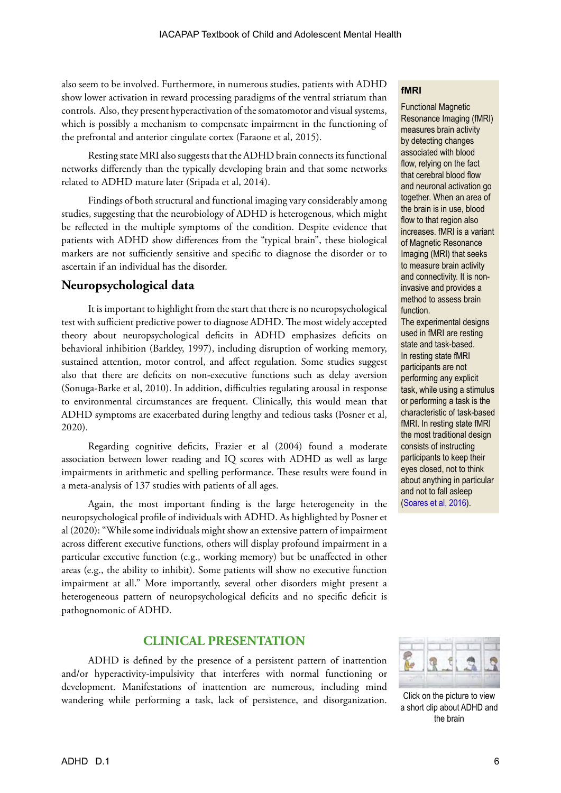also seem to be involved. Furthermore, in numerous studies, patients with ADHD show lower activation in reward processing paradigms of the ventral striatum than controls. Also, they present hyperactivation of the somatomotor and visual systems, which is possibly a mechanism to compensate impairment in the functioning of the prefrontal and anterior cingulate cortex (Faraone et al, 2015).

Resting state MRI also suggests that the ADHD brain connects its functional networks differently than the typically developing brain and that some networks related to ADHD mature later (Sripada et al, 2014).

Findings of both structural and functional imaging vary considerably among studies, suggesting that the neurobiology of ADHD is heterogenous, which might be reflected in the multiple symptoms of the condition. Despite evidence that patients with ADHD show differences from the "typical brain", these biological markers are not sufficiently sensitive and specific to diagnose the disorder or to ascertain if an individual has the disorder.

## **Neuropsychological data**

It is important to highlight from the start that there is no neuropsychological test with sufficient predictive power to diagnose ADHD. The most widely accepted theory about neuropsychological deficits in ADHD emphasizes deficits on behavioral inhibition (Barkley, 1997), including disruption of working memory, sustained attention, motor control, and affect regulation. Some studies suggest also that there are deficits on non-executive functions such as delay aversion (Sonuga-Barke et al, 2010). In addition, difficulties regulating arousal in response to environmental circumstances are frequent. Clinically, this would mean that ADHD symptoms are exacerbated during lengthy and tedious tasks (Posner et al, 2020).

Regarding cognitive deficits, Frazier et al (2004) found a moderate association between lower reading and IQ scores with ADHD as well as large impairments in arithmetic and spelling performance. These results were found in a meta-analysis of 137 studies with patients of all ages.

Again, the most important finding is the large heterogeneity in the neuropsychological profile of individuals with ADHD. As highlighted by Posner et al (2020): "While some individuals might show an extensive pattern of impairment across different executive functions, others will display profound impairment in a particular executive function (e.g., working memory) but be unaffected in other areas (e.g., the ability to inhibit). Some patients will show no executive function impairment at all." More importantly, several other disorders might present a heterogeneous pattern of neuropsychological deficits and no specific deficit is pathognomonic of ADHD.

## **CLINICAL PRESENTATION**

ADHD is defined by the presence of a persistent pattern of inattention and/or hyperactivity-impulsivity that interferes with normal functioning or development. Manifestations of inattention are numerous, including mind wandering while performing a task, lack of persistence, and disorganization.

#### **fMRI**

Functional Magnetic Resonance Imaging (fMRI) measures brain activity by detecting changes associated with blood flow, relying on the fact that cerebral blood flow and neuronal activation go together. When an area of the brain is in use, blood flow to that region also increases. fMRI is a variant of Magnetic Resonance Imaging (MRI) that seeks to measure brain activity and connectivity. It is noninvasive and provides a method to assess brain function.

The experimental designs used in fMRI are resting state and task-based. In resting state fMRI participants are not performing any explicit task, while using a stimulus or performing a task is the characteristic of task-based fMRI. In resting state fMRI the most traditional design consists of instructing participants to keep their eyes closed, not to think about anything in particular and not to fall asleep [\(Soares et al, 2016\)](https://doi.org/10.3389/fnins.2016.00515).



Click on the picture to view a short clip about ADHD and the brain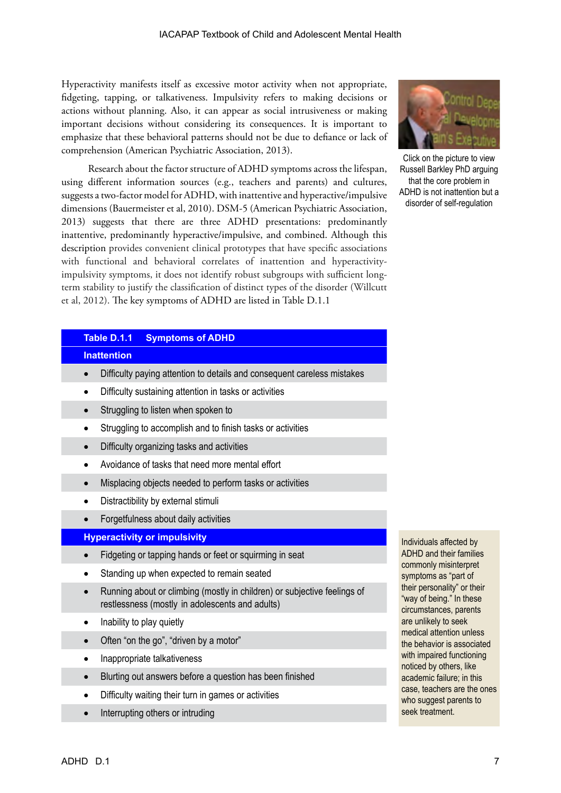Hyperactivity manifests itself as excessive motor activity when not appropriate, fidgeting, tapping, or talkativeness. Impulsivity refers to making decisions or actions without planning. Also, it can appear as social intrusiveness or making important decisions without considering its consequences. It is important to emphasize that these behavioral patterns should not be due to defiance or lack of comprehension (American Psychiatric Association, 2013).

Research about the factor structure of ADHD symptoms across the lifespan, using different information sources (e.g., teachers and parents) and cultures, suggests a two-factor model for ADHD, with inattentive and hyperactive/impulsive dimensions (Bauermeister et al, 2010). DSM-5 (American Psychiatric Association, 2013) suggests that there are three ADHD presentations: predominantly inattentive, predominantly hyperactive/impulsive, and combined. Although this description provides convenient clinical prototypes that have specific associations with functional and behavioral correlates of inattention and hyperactivityimpulsivity symptoms, it does not identify robust subgroups with sufficient longterm stability to justify the classification of distinct types of the disorder (Willcutt et al, 2012). The key symptoms of ADHD are listed in Table D.1.1

#### **Table D.1.1 Symptoms of ADHD**

#### **Inattention**

- Difficulty paying attention to details and consequent careless mistakes
- Difficulty sustaining attention in tasks or activities
- Struggling to listen when spoken to
- Struggling to accomplish and to finish tasks or activities
- • Difficulty organizing tasks and activities
- • Avoidance of tasks that need more mental effort
- Misplacing objects needed to perform tasks or activities
- • Distractibility by external stimuli
- • Forgetfulness about daily activities

#### **Hyperactivity or impulsivity**

- Fidgeting or tapping hands or feet or squirming in seat
- Standing up when expected to remain seated
- Running about or climbing (mostly in children) or subjective feelings of restlessness (mostly in adolescents and adults)
- Inability to play quietly
- Often "on the go", "driven by a motor"
- Inappropriate talkativeness
- Blurting out answers before a question has been finished
- Difficulty waiting their turn in games or activities
- Interrupting others or intruding



Click on the picture to view Russell Barkley PhD arguing that the core problem in ADHD is not inattention but a disorder of self-regulation

Individuals affected by ADHD and their families commonly misinterpret symptoms as "part of their personality" or their "way of being." In these circumstances, parents are unlikely to seek medical attention unless the behavior is associated with impaired functioning noticed by others, like academic failure; in this case, teachers are the ones who suggest parents to seek treatment.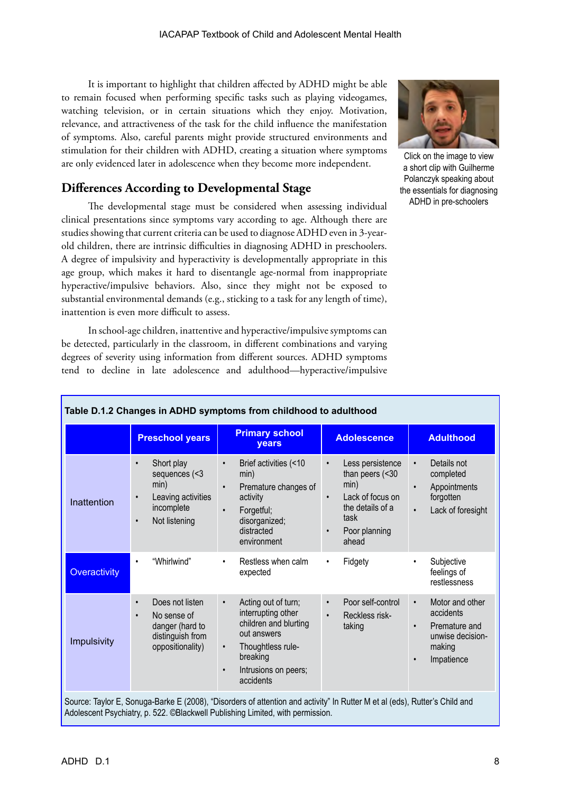It is important to highlight that children affected by ADHD might be able to remain focused when performing specific tasks such as playing videogames, watching television, or in certain situations which they enjoy. Motivation, relevance, and attractiveness of the task for the child influence the manifestation of symptoms. Also, careful parents might provide structured environments and stimulation for their children with ADHD, creating a situation where symptoms are only evidenced later in adolescence when they become more independent.

## **Differences According to Developmental Stage**

The developmental stage must be considered when assessing individual clinical presentations since symptoms vary according to age. Although there are studies showing that current criteria can be used to diagnose ADHD even in 3-yearold children, there are intrinsic difficulties in diagnosing ADHD in preschoolers. A degree of impulsivity and hyperactivity is developmentally appropriate in this age group, which makes it hard to disentangle age-normal from inappropriate hyperactive/impulsive behaviors. Also, since they might not be exposed to substantial environmental demands (e.g., sticking to a task for any length of time), inattention is even more difficult to assess.

In school-age children, inattentive and hyperactive/impulsive symptoms can be detected, particularly in the classroom, in different combinations and varying degrees of severity using information from different sources. ADHD symptoms tend to decline in late adolescence and adulthood—hyperactive/impulsive



Click on the image to view a short clip with Guilherme Polanczyk speaking about [the essentials for diagnosing](https://www.youtube.com/watch?v=5_rASNOzUcE)  ADHD in pre-schoolers

|                     | <b>Preschool years</b>                                                                                                          | <b>Primary school</b><br><b>vears</b>                                                                                                                                                          | <b>Adolescence</b>                                                                                                        | <b>Adulthood</b>                                                                                                                 |  |
|---------------------|---------------------------------------------------------------------------------------------------------------------------------|------------------------------------------------------------------------------------------------------------------------------------------------------------------------------------------------|---------------------------------------------------------------------------------------------------------------------------|----------------------------------------------------------------------------------------------------------------------------------|--|
| Inattention         | Short play<br>$\bullet$<br>sequences (<3<br>min)<br>Leaving activities<br>$\bullet$<br>incomplete<br>Not listening<br>$\bullet$ | Brief activities (<10<br>$\bullet$<br>min)<br>Premature changes of<br>$\bullet$<br>activity<br>Forgetful;<br>$\bullet$<br>disorganized;<br>distracted<br>environment                           | Less persistence<br>$\bullet$<br>than peers $(30min)Lack of focus on\bulletthe details of ataskPoor planning\bulletahead$ | Details not<br>$\bullet$<br>completed<br>Appointments<br>$\bullet$<br>forgotten<br>Lack of foresight<br>$\bullet$                |  |
| <b>Overactivity</b> | "Whirlwind"<br>$\bullet$                                                                                                        | Restless when calm<br>$\bullet$<br>expected                                                                                                                                                    | Fidgety<br>$\bullet$                                                                                                      | Subjective<br>$\bullet$<br>feelings of<br>restlessness                                                                           |  |
| Impulsivity         | Does not listen<br>$\bullet$<br>No sense of<br>$\bullet$<br>danger (hard to<br>distinguish from<br>oppositionality)             | Acting out of turn;<br>$\bullet$<br>interrupting other<br>children and blurting<br>out answers<br>Thoughtless rule-<br>$\bullet$<br>breaking<br>Intrusions on peers;<br>$\bullet$<br>accidents | Poor self-control<br>$\bullet$<br>Reckless risk-<br>$\bullet$<br>taking                                                   | Motor and other<br>$\bullet$<br>accidents<br>Premature and<br>$\bullet$<br>unwise decision-<br>making<br>Impatience<br>$\bullet$ |  |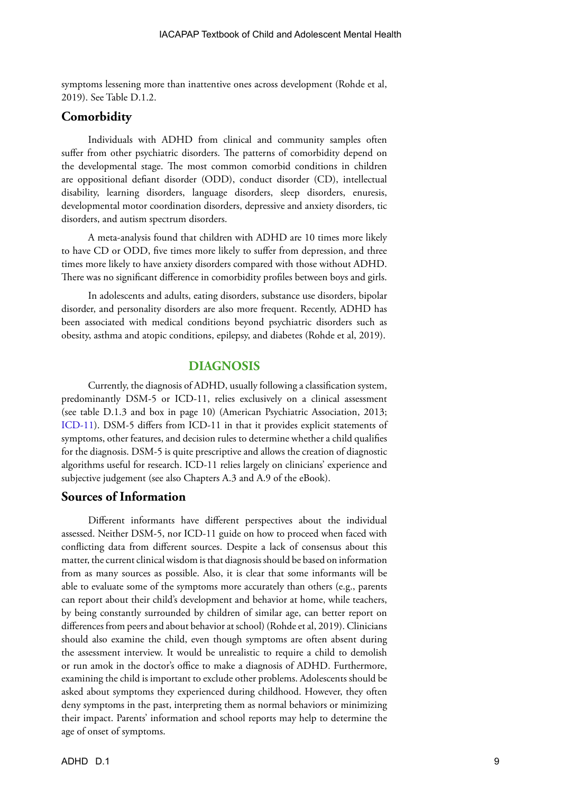symptoms lessening more than inattentive ones across development (Rohde et al, 2019). See Table D.1.2.

#### **Comorbidity**

Individuals with ADHD from clinical and community samples often suffer from other psychiatric disorders. The patterns of comorbidity depend on the developmental stage. The most common comorbid conditions in children are oppositional defiant disorder (ODD), conduct disorder (CD), intellectual disability, learning disorders, language disorders, sleep disorders, enuresis, developmental motor coordination disorders, depressive and anxiety disorders, tic disorders, and autism spectrum disorders.

A meta-analysis found that children with ADHD are 10 times more likely to have CD or ODD, five times more likely to suffer from depression, and three times more likely to have anxiety disorders compared with those without ADHD. There was no significant difference in comorbidity profiles between boys and girls.

In adolescents and adults, eating disorders, substance use disorders, bipolar disorder, and personality disorders are also more frequent. Recently, ADHD has been associated with medical conditions beyond psychiatric disorders such as obesity, asthma and atopic conditions, epilepsy, and diabetes (Rohde et al, 2019).

#### **DIAGNOSIS**

Currently, the diagnosis of ADHD, usually following a classification system, predominantly DSM-5 or ICD-11, relies exclusively on a clinical assessment (see table D.1.3 and box in page 10) (American Psychiatric Association, 2013; ICD-11). DSM-5 differs from ICD-11 in that it provides explicit statements of symptoms, other features, and decision rules to determine whether a child qualifies for the diagnosis. DSM-5 is quite prescriptive and allows the creation of diagnostic algorithms useful for research. ICD-11 relies largely on clinicians' experience and subjective judgement (see also Chapters A.3 and A.9 of the eBook).

#### **Sources of Information**

Different informants have different perspectives about the individual assessed. Neither DSM-5, nor ICD-11 guide on how to proceed when faced with conflicting data from different sources. Despite a lack of consensus about this matter, the current clinical wisdom is that diagnosis should be based on information from as many sources as possible. Also, it is clear that some informants will be able to evaluate some of the symptoms more accurately than others (e.g., parents can report about their child's development and behavior at home, while teachers, by being constantly surrounded by children of similar age, can better report on differences from peers and about behavior at school) (Rohde et al, 2019). Clinicians should also examine the child, even though symptoms are often absent during the assessment interview. It would be unrealistic to require a child to demolish or run amok in the doctor's office to make a diagnosis of ADHD. Furthermore, examining the child is important to exclude other problems. Adolescents should be asked about symptoms they experienced during childhood. However, they often deny symptoms in the past, interpreting them as normal behaviors or minimizing their impact. Parents' information and school reports may help to determine the age of onset of symptoms.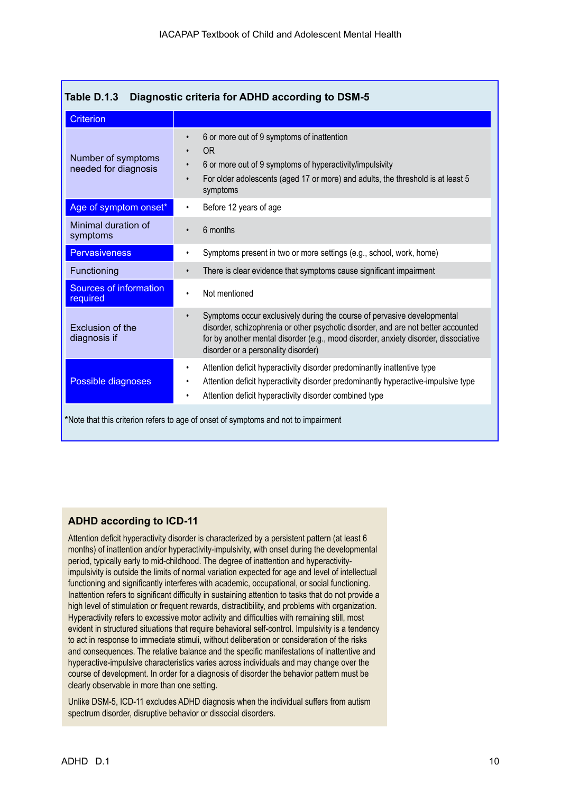| Table D.1.3<br>Diagnostic criteria for ADHD according to DSM-5                     |                                                                                                                                                                                                                                                                                                         |  |  |  |  |
|------------------------------------------------------------------------------------|---------------------------------------------------------------------------------------------------------------------------------------------------------------------------------------------------------------------------------------------------------------------------------------------------------|--|--|--|--|
| <b>Criterion</b>                                                                   |                                                                                                                                                                                                                                                                                                         |  |  |  |  |
| Number of symptoms<br>needed for diagnosis                                         | 6 or more out of 9 symptoms of inattention<br>0 <sub>R</sub><br>$\bullet$<br>6 or more out of 9 symptoms of hyperactivity/impulsivity<br>$\bullet$<br>For older adolescents (aged 17 or more) and adults, the threshold is at least 5<br>symptoms                                                       |  |  |  |  |
| Age of symptom onset*                                                              | Before 12 years of age<br>$\bullet$                                                                                                                                                                                                                                                                     |  |  |  |  |
| Minimal duration of<br>symptoms                                                    | 6 months<br>$\bullet$                                                                                                                                                                                                                                                                                   |  |  |  |  |
| <b>Pervasiveness</b>                                                               | Symptoms present in two or more settings (e.g., school, work, home)<br>$\bullet$                                                                                                                                                                                                                        |  |  |  |  |
| Functioning                                                                        | There is clear evidence that symptoms cause significant impairment<br>$\bullet$                                                                                                                                                                                                                         |  |  |  |  |
| <b>Sources of information</b><br>required                                          | Not mentioned<br>$\bullet$                                                                                                                                                                                                                                                                              |  |  |  |  |
| Exclusion of the<br>diagnosis if                                                   | Symptoms occur exclusively during the course of pervasive developmental<br>$\bullet$<br>disorder, schizophrenia or other psychotic disorder, and are not better accounted<br>for by another mental disorder (e.g., mood disorder, anxiety disorder, dissociative<br>disorder or a personality disorder) |  |  |  |  |
| Possible diagnoses                                                                 | Attention deficit hyperactivity disorder predominantly inattentive type<br>$\bullet$<br>Attention deficit hyperactivity disorder predominantly hyperactive-impulsive type<br>Attention deficit hyperactivity disorder combined type<br>$\bullet$                                                        |  |  |  |  |
| *Note that this criterion refers to age of onset of symptoms and not to impairment |                                                                                                                                                                                                                                                                                                         |  |  |  |  |

#### **ADHD according to ICD-11**

Attention deficit hyperactivity disorder is characterized by a persistent pattern (at least 6 months) of inattention and/or hyperactivity-impulsivity, with onset during the developmental period, typically early to mid-childhood. The degree of inattention and hyperactivityimpulsivity is outside the limits of normal variation expected for age and level of intellectual functioning and significantly interferes with academic, occupational, or social functioning. Inattention refers to significant difficulty in sustaining attention to tasks that do not provide a high level of stimulation or frequent rewards, distractibility, and problems with organization. Hyperactivity refers to excessive motor activity and difficulties with remaining still, most evident in structured situations that require behavioral self-control. Impulsivity is a tendency to act in response to immediate stimuli, without deliberation or consideration of the risks and consequences. The relative balance and the specific manifestations of inattentive and hyperactive-impulsive characteristics varies across individuals and may change over the course of development. In order for a diagnosis of disorder the behavior pattern must be clearly observable in more than one setting.

Unlike DSM-5, ICD-11 excludes ADHD diagnosis when the individual suffers from autism spectrum disorder, disruptive behavior or dissocial disorders.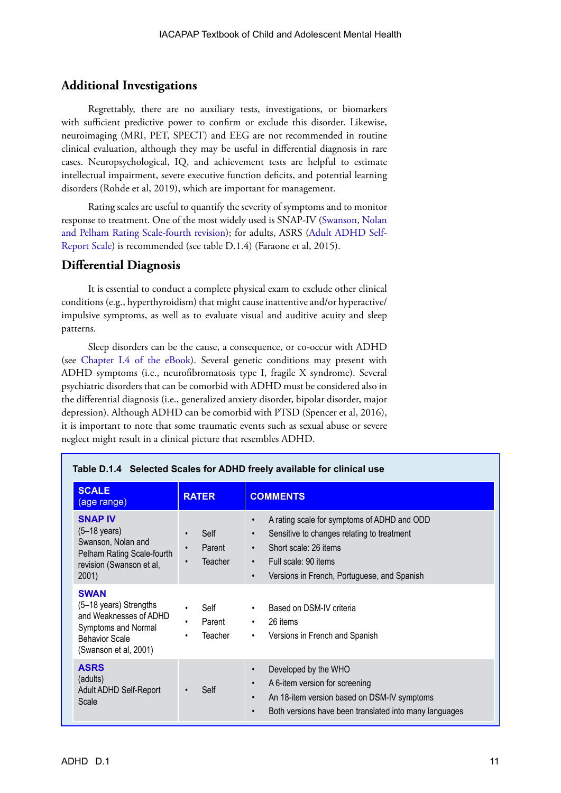## **Additional Investigations**

Regrettably, there are no auxiliary tests, investigations, or biomarkers with sufficient predictive power to confirm or exclude this disorder. Likewise, neuroimaging (MRI, PET, SPECT) and EEG are not recommended in routine clinical evaluation, although they may be useful in differential diagnosis in rare cases. Neuropsychological, IQ, and achievement tests are helpful to estimate intellectual impairment, severe executive function deficits, and potential learning disorders (Rohde et al, 2019), which are important for management.

Rating scales are useful to quantify the severity of symptoms and to monitor response to treatment. One of the most widely used is SNAP-IV ([Swanson, Nolan](https://www.mcpap.com/pdf/SNAPIV.pdf)  [and Pelham Rating Scale-fourth revision](https://www.mcpap.com/pdf/SNAPIV.pdf)); for adults, ASRS ([Adult ADHD Self-](https://add.org/wp-content/uploads/2015/03/adhd-questionnaire-ASRS111.pdf)[Report Scale\)](https://add.org/wp-content/uploads/2015/03/adhd-questionnaire-ASRS111.pdf) is recommended (see table D.1.4) (Faraone et al, 2015).

## **Differential Diagnosis**

It is essential to conduct a complete physical exam to exclude other clinical conditions (e.g., hyperthyroidism) that might cause inattentive and/or hyperactive/ impulsive symptoms, as well as to evaluate visual and auditive acuity and sleep patterns.

Sleep disorders can be the cause, a consequence, or co-occur with ADHD (see [Chapter I.4](https://iacapap.org/content/uploads/I-4-SLEEP-2014.pdf) of the eBook). Several genetic conditions may present with ADHD symptoms (i.e., neurofibromatosis type I, fragile X syndrome). Several psychiatric disorders that can be comorbid with ADHD must be considered also in the differential diagnosis (i.e., generalized anxiety disorder, bipolar disorder, major depression). Although ADHD can be comorbid with PTSD (Spencer et al, 2016), it is important to note that some traumatic events such as sexual abuse or severe neglect might result in a clinical picture that resembles ADHD.

| <b>SCALE</b><br>(age range)                                                                                                              | <b>RATER</b>                                  | <b>COMMENTS</b>                                                                                                                                                                                                                  |
|------------------------------------------------------------------------------------------------------------------------------------------|-----------------------------------------------|----------------------------------------------------------------------------------------------------------------------------------------------------------------------------------------------------------------------------------|
| <b>SNAP IV</b><br>$(5-18 \text{ years})$<br>Swanson, Nolan and<br>Pelham Rating Scale-fourth<br>revision (Swanson et al,<br>2001)        | Self<br>Parent<br><b>Teacher</b><br>$\bullet$ | A rating scale for symptoms of ADHD and ODD<br>Sensitive to changes relating to treatment<br>Short scale: 26 items<br>$\bullet$<br>Full scale: 90 items<br>$\bullet$<br>Versions in French, Portuguese, and Spanish<br>$\bullet$ |
| <b>SWAN</b><br>(5-18 years) Strengths<br>and Weaknesses of ADHD<br>Symptoms and Normal<br><b>Behavior Scale</b><br>(Swanson et al, 2001) | Self<br>Parent<br>Teacher<br>٠                | Based on DSM-IV criteria<br>$\bullet$<br>26 items<br>$\bullet$<br>Versions in French and Spanish<br>$\bullet$                                                                                                                    |
| <b>ASRS</b><br>(adults)<br>Adult ADHD Self-Report<br>Scale                                                                               | Self                                          | Developed by the WHO<br>A 6-item version for screening<br>$\bullet$<br>An 18-item version based on DSM-IV symptoms<br>$\bullet$<br>Both versions have been translated into many languages<br>$\bullet$                           |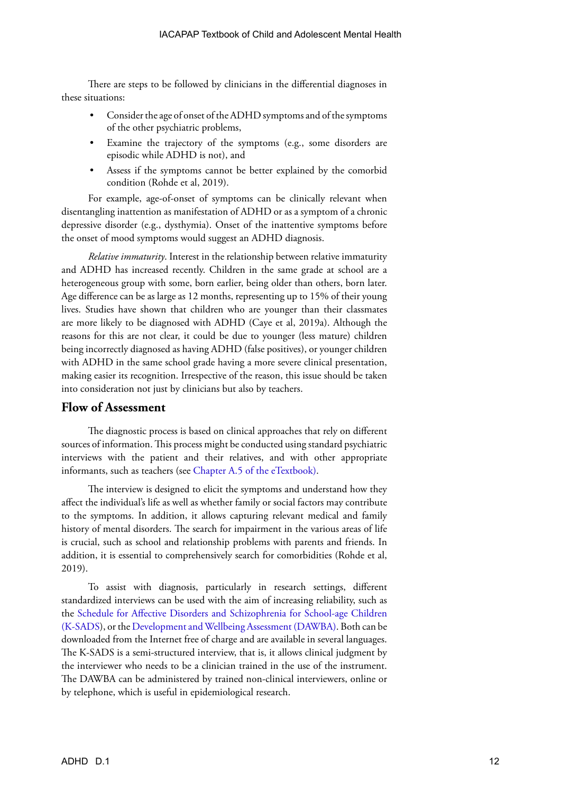There are steps to be followed by clinicians in the differential diagnoses in these situations:

- Consider the age of onset of the ADHD symptoms and of the symptoms of the other psychiatric problems,
- Examine the trajectory of the symptoms (e.g., some disorders are episodic while ADHD is not), and
- Assess if the symptoms cannot be better explained by the comorbid condition (Rohde et al, 2019).

For example, age-of-onset of symptoms can be clinically relevant when disentangling inattention as manifestation of ADHD or as a symptom of a chronic depressive disorder (e.g., dysthymia). Onset of the inattentive symptoms before the onset of mood symptoms would suggest an ADHD diagnosis.

*Relative immaturity*. Interest in the relationship between relative immaturity and ADHD has increased recently. Children in the same grade at school are a heterogeneous group with some, born earlier, being older than others, born later. Age difference can be as large as 12 months, representing up to 15% of their young lives. Studies have shown that children who are younger than their classmates are more likely to be diagnosed with ADHD (Caye et al, 2019a). Although the reasons for this are not clear, it could be due to younger (less mature) children being incorrectly diagnosed as having ADHD (false positives), or younger children with ADHD in the same school grade having a more severe clinical presentation, making easier its recognition. Irrespective of the reason, this issue should be taken into consideration not just by clinicians but also by teachers.

## **Flow of Assessment**

The diagnostic process is based on clinical approaches that rely on different sources of information. This process might be conducted using standard psychiatric interviews with the patient and their relatives, and with other appropriate informants, such as teachers (see [Chapter A.5](https://iacapap.org/content/uploads/A.5-CLINICAL-EXAMINATION-072012.pdf) of the eTextbook).

The interview is designed to elicit the symptoms and understand how they affect the individual's life as well as whether family or social factors may contribute to the symptoms. In addition, it allows capturing relevant medical and family history of mental disorders. The search for impairment in the various areas of life is crucial, such as school and relationship problems with parents and friends. In addition, it is essential to comprehensively search for comorbidities (Rohde et al, 2019).

To assist with diagnosis, particularly in research settings, different standardized interviews can be used with the aim of increasing reliability, such as the [Schedule for Affective Disorders and Schizophrenia for School-age Children](https://www.kennedykrieger.org/sites/default/files/library/documents/faculty/ksads-dsm-5-screener.pdf)  [\(K-SADS\)](https://www.kennedykrieger.org/sites/default/files/library/documents/faculty/ksads-dsm-5-screener.pdf), or the [Development and Wellbeing Assessment \(DAWBA\).](https://youthinmind.com/products-and-services/dawba/) Both can be downloaded from the Internet free of charge and are available in several languages. The K-SADS is a semi-structured interview, that is, it allows clinical judgment by the interviewer who needs to be a clinician trained in the use of the instrument. The DAWBA can be administered by trained non-clinical interviewers, online or by telephone, which is useful in epidemiological research.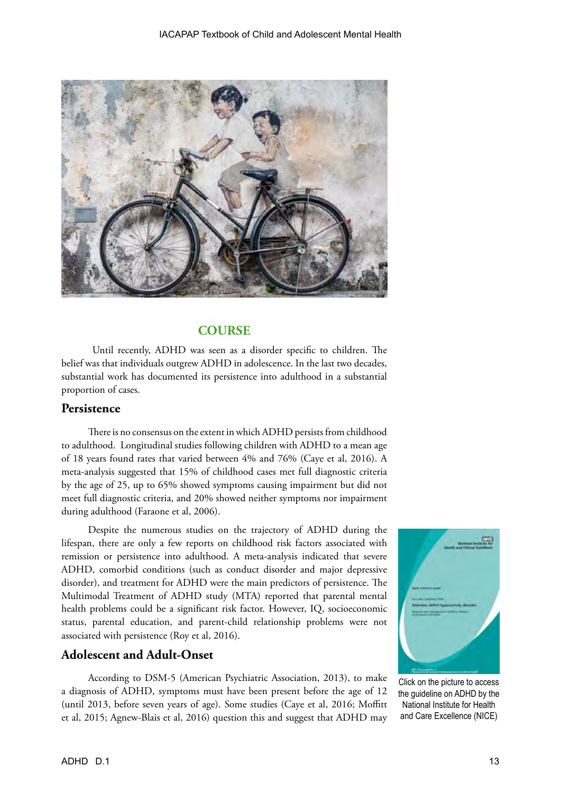

#### **COURSE**

 Until recently, ADHD was seen as a disorder specific to children. The belief was that individuals outgrew ADHD in adolescence. In the last two decades, substantial work has documented its persistence into adulthood in a substantial proportion of cases.

#### **Persistence**

There is no consensus on the extent in which ADHD persists from childhood to adulthood. Longitudinal studies following children with ADHD to a mean age of 18 years found rates that varied between 4% and 76% (Caye et al, 2016). A meta-analysis suggested that 15% of childhood cases met full diagnostic criteria by the age of 25, up to 65% showed symptoms causing impairment but did not meet full diagnostic criteria, and 20% showed neither symptoms nor impairment during adulthood (Faraone et al, 2006).

Despite the numerous studies on the trajectory of ADHD during the lifespan, there are only a few reports on childhood risk factors associated with remission or persistence into adulthood. A meta-analysis indicated that severe ADHD, comorbid conditions (such as conduct disorder and major depressive disorder), and treatment for ADHD were the main predictors of persistence. The Multimodal Treatment of ADHD study (MTA) reported that parental mental health problems could be a significant risk factor. However, IQ, socioeconomic status, parental education, and parent-child relationship problems were not associated with persistence (Roy et al, 2016).

#### **Adolescent and Adult-Onset**

According to DSM-5 (American Psychiatric Association, 2013), to make a diagnosis of ADHD, symptoms must have been present before the age of 12 (until 2013, before seven years of age). Some studies (Caye et al, 2016; Moffitt et al, 2015; Agnew-Blais et al, 2016) question this and suggest that ADHD may



Click on the picture to access the guideline on ADHD by the National Institute for Health and Care Excellence (NICE)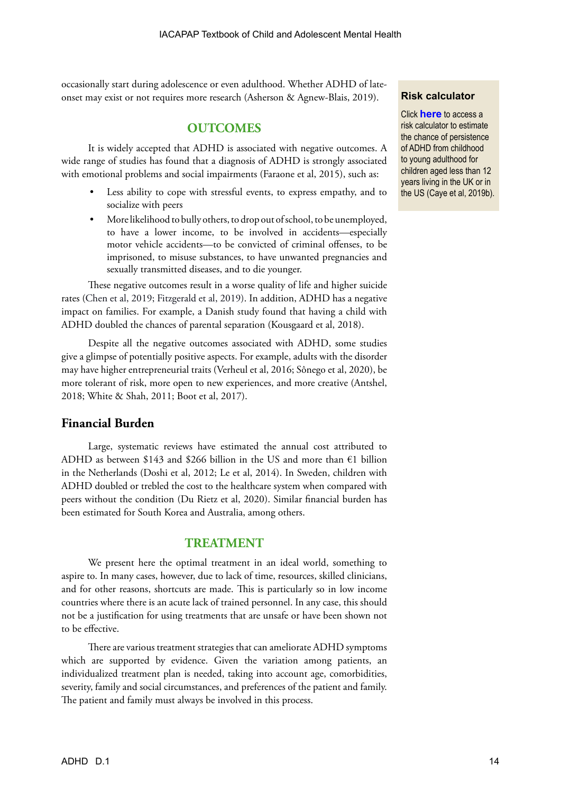occasionally start during adolescence or even adulthood. Whether ADHD of lateonset may exist or not requires more research (Asherson & Agnew-Blais, 2019).

#### **OUTCOMES**

It is widely accepted that ADHD is associated with negative outcomes. A wide range of studies has found that a diagnosis of ADHD is strongly associated with emotional problems and social impairments (Faraone et al, 2015), such as:

- Less ability to cope with stressful events, to express empathy, and to socialize with peers
- More likelihood to bully others, to drop out of school, to be unemployed, to have a lower income, to be involved in accidents—especially motor vehicle accidents—to be convicted of criminal offenses, to be imprisoned, to misuse substances, to have unwanted pregnancies and sexually transmitted diseases, and to die younger.

These negative outcomes result in a worse quality of life and higher suicide rates (Chen et al, 2019; Fitzgerald et al, 2019). In addition, ADHD has a negative impact on families. For example, a Danish study found that having a child with ADHD doubled the chances of parental separation (Kousgaard et al, 2018).

Despite all the negative outcomes associated with ADHD, some studies give a glimpse of potentially positive aspects. For example, adults with the disorder may have higher entrepreneurial traits (Verheul et al, 2016; Sônego et al, 2020), be more tolerant of risk, more open to new experiences, and more creative ([Antshel](https://journals.aom.org/doi/abs/10.5465/amp.2016.0144), 2018; White & Shah, 2011; Boot et al, 2017).

## **Financial Burden**

Large, systematic reviews have estimated the annual cost attributed to ADHD as between \$143 and \$266 billion in the US and more than  $\epsilon$ 1 billion in the Netherlands (Doshi et al, 2012; Le et al, 2014). In Sweden, children with ADHD doubled or trebled the cost to the healthcare system when compared with peers without the condition (Du Rietz et al, 2020). Similar financial burden has been estimated for South Korea and Australia, among others.

#### **TREATMENT**

We present here the optimal treatment in an ideal world, something to aspire to. In many cases, however, due to lack of time, resources, skilled clinicians, and for other reasons, shortcuts are made. This is particularly so in low income countries where there is an acute lack of trained personnel. In any case, this should not be a justification for using treatments that are unsafe or have been shown not to be effective.

There are various treatment strategies that can ameliorate ADHD symptoms which are supported by evidence. Given the variation among patients, an individualized treatment plan is needed, taking into account age, comorbidities, severity, family and social circumstances, and preferences of the patient and family. The patient and family must always be involved in this process.

#### **Risk calculator**

Click **[here](https://ufrgs.br/prodah/adhd-calculator/)** to access a risk calculator to estimate the chance of persistence of ADHD from childhood to young adulthood for children aged less than 12 years living in the UK or in the US (Caye et al, 2019b).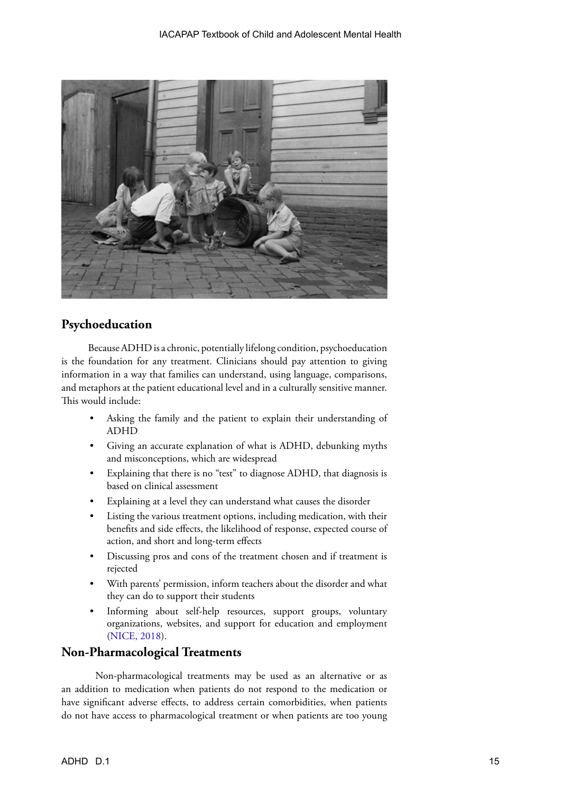

## **Psychoeducation**

Because ADHD is a chronic, potentially lifelong condition, psychoeducation is the foundation for any treatment. Clinicians should pay attention to giving information in a way that families can understand, using language, comparisons, and metaphors at the patient educational level and in a culturally sensitive manner. This would include:

- Asking the family and the patient to explain their understanding of ADHD
- Giving an accurate explanation of what is ADHD, debunking myths and misconceptions, which are widespread
- Explaining that there is no "test" to diagnose ADHD, that diagnosis is based on clinical assessment
- Explaining at a level they can understand what causes the disorder
- Listing the various treatment options, including medication, with their benefits and side effects, the likelihood of response, expected course of action, and short and long-term effects
- Discussing pros and cons of the treatment chosen and if treatment is rejected
- With parents' permission, inform teachers about the disorder and what they can do to support their students
- Informing about self-help resources, support groups, voluntary organizations, websites, and support for education and employment ([NICE, 2018\)](https://www.nice.org.uk/guidance/ng87).

## **Non-Pharmacological Treatments**

Non-pharmacological treatments may be used as an alternative or as an addition to medication when patients do not respond to the medication or have significant adverse effects, to address certain comorbidities, when patients do not have access to pharmacological treatment or when patients are too young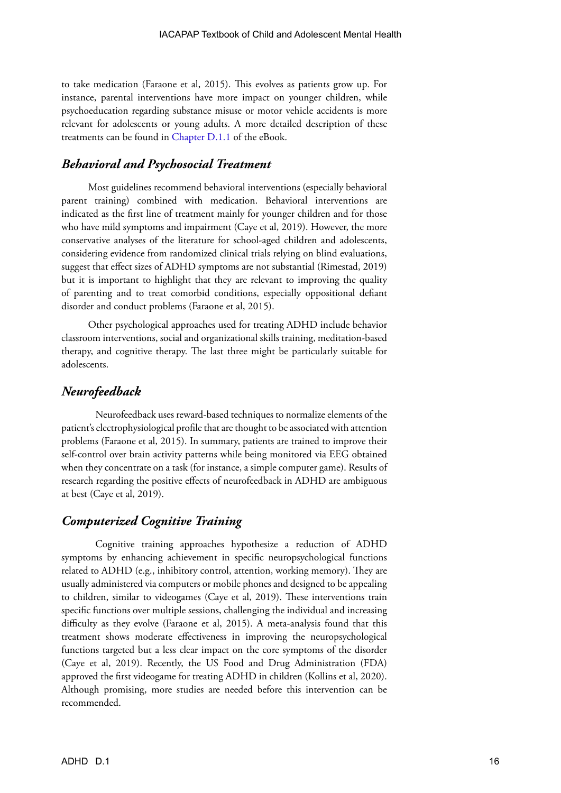to take medication (Faraone et al, 2015). This evolves as patients grow up. For instance, parental interventions have more impact on younger children, while psychoeducation regarding substance misuse or motor vehicle accidents is more relevant for adolescents or young adults. A more detailed description of these treatments can be found in [Chapter D.1.1](https://iacapap.org/content/uploads/D.1.1-ADHD-NON-PHARMA-2016.pdf) of the eBook.

#### *Behavioral and Psychosocial Treatment*

Most guidelines recommend behavioral interventions (especially behavioral parent training) combined with medication. Behavioral interventions are indicated as the first line of treatment mainly for younger children and for those who have mild symptoms and impairment (Caye et al, 2019). However, the more conservative analyses of the literature for school-aged children and adolescents, considering evidence from randomized clinical trials relying on blind evaluations, suggest that effect sizes of ADHD symptoms are not substantial (Rimestad, 2019) but it is important to highlight that they are relevant to improving the quality of parenting and to treat comorbid conditions, especially oppositional defiant disorder and conduct problems (Faraone et al, 2015).

Other psychological approaches used for treating ADHD include behavior classroom interventions, social and organizational skills training, meditation-based therapy, and cognitive therapy. The last three might be particularly suitable for adolescents.

#### *Neurofeedback*

Neurofeedback uses reward-based techniques to normalize elements of the patient's electrophysiological profile that are thought to be associated with attention problems (Faraone et al, 2015). In summary, patients are trained to improve their self-control over brain activity patterns while being monitored via EEG obtained when they concentrate on a task (for instance, a simple computer game). Results of research regarding the positive effects of neurofeedback in ADHD are ambiguous at best (Caye et al, 2019).

#### *Computerized Cognitive Training*

Cognitive training approaches hypothesize a reduction of ADHD symptoms by enhancing achievement in specific neuropsychological functions related to ADHD (e.g., inhibitory control, attention, working memory). They are usually administered via computers or mobile phones and designed to be appealing to children, similar to videogames (Caye et al, 2019). These interventions train specific functions over multiple sessions, challenging the individual and increasing difficulty as they evolve (Faraone et al, 2015). A meta-analysis found that this treatment shows moderate effectiveness in improving the neuropsychological functions targeted but a less clear impact on the core symptoms of the disorder (Caye et al, 2019). Recently, the US Food and Drug Administration (FDA) approved the first videogame for treating ADHD in children (Kollins et al, 2020). Although promising, more studies are needed before this intervention can be recommended.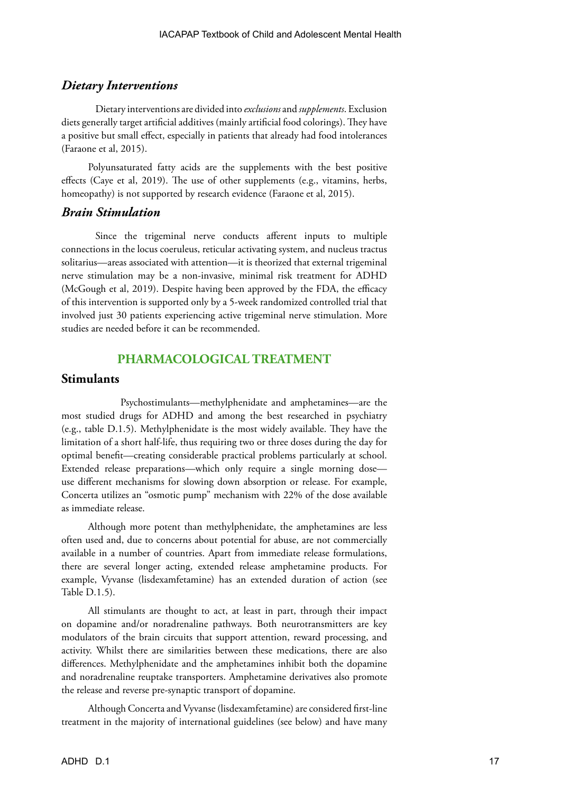#### *Dietary Interventions*

Dietary interventions are divided into *exclusions* and *supplements*. Exclusion diets generally target artificial additives (mainly artificial food colorings). They have a positive but small effect, especially in patients that already had food intolerances (Faraone et al, 2015).

Polyunsaturated fatty acids are the supplements with the best positive effects (Caye et al, 2019). The use of other supplements (e.g., vitamins, herbs, homeopathy) is not supported by research evidence (Faraone et al, 2015).

#### *Brain Stimulation*

Since the trigeminal nerve conducts afferent inputs to multiple connections in the locus coeruleus, reticular activating system, and nucleus tractus solitarius—areas associated with attention—it is theorized that external trigeminal nerve stimulation may be a non-invasive, minimal risk treatment for ADHD (McGough et al, 2019). Despite having been approved by the FDA, the efficacy of this intervention is supported only by a 5-week randomized controlled trial that involved just 30 patients experiencing active trigeminal nerve stimulation. More studies are needed before it can be recommended.

## **PHARMACOLOGICAL TREATMENT**

#### **Stimulants**

 Psychostimulants—methylphenidate and amphetamines—are the most studied drugs for ADHD and among the best researched in psychiatry (e.g., table D.1.5). Methylphenidate is the most widely available. They have the limitation of a short half-life, thus requiring two or three doses during the day for optimal benefit—creating considerable practical problems particularly at school. Extended release preparations—which only require a single morning dose use different mechanisms for slowing down absorption or release. For example, Concerta utilizes an "osmotic pump" mechanism with 22% of the dose available as immediate release.

Although more potent than methylphenidate, the amphetamines are less often used and, due to concerns about potential for abuse, are not commercially available in a number of countries. Apart from immediate release formulations, there are several longer acting, extended release amphetamine products. For example, Vyvanse (lisdexamfetamine) has an extended duration of action (see Table D.1.5).

All stimulants are thought to act, at least in part, through their impact on dopamine and/or noradrenaline pathways. Both neurotransmitters are key modulators of the brain circuits that support attention, reward processing, and activity. Whilst there are similarities between these medications, there are also differences. Methylphenidate and the amphetamines inhibit both the dopamine and noradrenaline reuptake transporters. Amphetamine derivatives also promote the release and reverse pre-synaptic transport of dopamine.

Although Concerta and Vyvanse (lisdexamfetamine) are considered first-line treatment in the majority of international guidelines (see below) and have many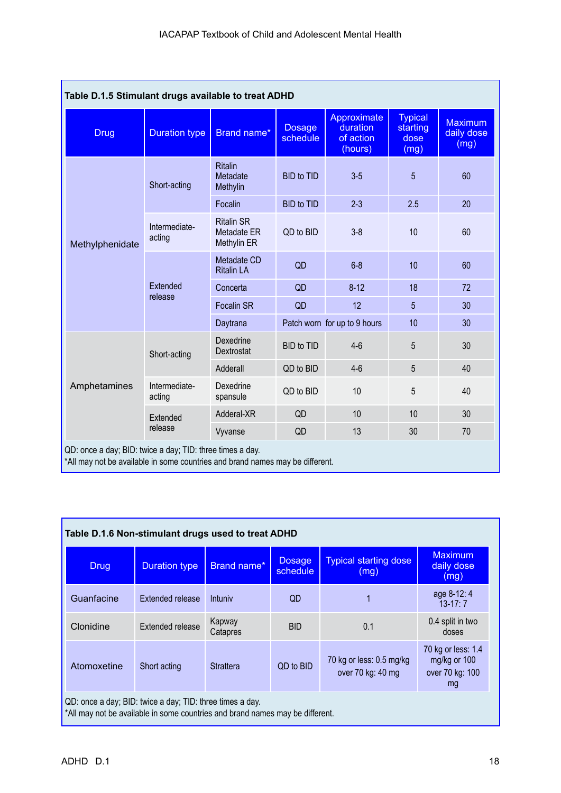| Table D.1.5 Stimulant drugs available to treat ADHD                                                                                                        |                         |                                                 |                           |                                                 |                                            |                                      |
|------------------------------------------------------------------------------------------------------------------------------------------------------------|-------------------------|-------------------------------------------------|---------------------------|-------------------------------------------------|--------------------------------------------|--------------------------------------|
| <b>Drug</b>                                                                                                                                                | <b>Duration type</b>    | Brand name*                                     | <b>Dosage</b><br>schedule | Approximate<br>duration<br>of action<br>(hours) | <b>Typical</b><br>starting<br>dose<br>(mg) | <b>Maximum</b><br>daily dose<br>(mg) |
|                                                                                                                                                            | Short-acting            | <b>Ritalin</b><br>Metadate<br>Methylin          | <b>BID</b> to TID         | $3-5$                                           | 5                                          | 60                                   |
|                                                                                                                                                            |                         | Focalin                                         | <b>BID</b> to TID         | $2 - 3$                                         | 2.5                                        | 20                                   |
| Methylphenidate                                                                                                                                            | Intermediate-<br>acting | <b>Ritalin SR</b><br>Metadate ER<br>Methylin ER | QD to BID                 | $3 - 8$                                         | 10                                         | 60                                   |
|                                                                                                                                                            | Extended<br>release     | Metadate CD<br><b>Ritalin LA</b>                | QD                        | $6 - 8$                                         | 10                                         | 60                                   |
|                                                                                                                                                            |                         | Concerta                                        | QD                        | $8 - 12$                                        | 18                                         | 72                                   |
|                                                                                                                                                            |                         | <b>Focalin SR</b>                               | QD                        | 12                                              | 5                                          | 30                                   |
|                                                                                                                                                            |                         | Daytrana                                        |                           | Patch worn for up to 9 hours                    | 10                                         | 30                                   |
| Amphetamines                                                                                                                                               | Short-acting            | Dexedrine<br>Dextrostat                         | <b>BID</b> to TID         | $4-6$                                           | 5                                          | 30                                   |
|                                                                                                                                                            |                         | Adderall                                        | QD to BID                 | $4-6$                                           | 5                                          | 40                                   |
|                                                                                                                                                            | Intermediate-<br>acting | Dexedrine<br>spansule                           | QD to BID                 | 10                                              | 5                                          | 40                                   |
|                                                                                                                                                            | Extended                | Adderal-XR                                      | QD                        | 10                                              | 10                                         | 30                                   |
|                                                                                                                                                            | release                 | Vyvanse                                         | QD                        | 13                                              | 30                                         | 70                                   |
| QD: once a day; BID: twice a day; TID: three times a day.<br>المستحقق المستحدث والمقتصد والمحاور والمستحدث والمالح المتحدث والقارع والمتحدث<br>and a state |                         |                                                 |                           |                                                 |                                            |                                      |

| *All may not be available in some countries and brand names may be different. |  |  |
|-------------------------------------------------------------------------------|--|--|
|                                                                               |  |  |

| Table D.1.6 Non-stimulant drugs used to treat ADHD                                                                                                                           |                      |                    |                           |                                      |                                      |  |
|------------------------------------------------------------------------------------------------------------------------------------------------------------------------------|----------------------|--------------------|---------------------------|--------------------------------------|--------------------------------------|--|
| <b>Drug</b>                                                                                                                                                                  | <b>Duration type</b> | Brand name*        | <b>Dosage</b><br>schedule | <b>Typical starting dose</b><br>(mg) | <b>Maximum</b><br>daily dose<br>(mg) |  |
| Guanfacine                                                                                                                                                                   | Extended release     | Intuniy            | QD                        |                                      | age 8-12:4<br>$13 - 17:7$            |  |
| Clonidine                                                                                                                                                                    | Extended release     | Kapway<br>Catapres | <b>BID</b>                | 0.1                                  | 0.4 split in two<br>doses            |  |
| 70 kg or less: 1.4<br>mg/kg or 100<br>70 kg or less: 0.5 mg/kg<br>QD to BID<br>Atomoxetine<br><b>Strattera</b><br>Short acting<br>over 70 kg: 40 mg<br>over 70 kg: 100<br>mg |                      |                    |                           |                                      |                                      |  |
| QD: once a day; BID: twice a day; TID: three times a day.<br>*All may not be available in some countries and brand names may be different.                                   |                      |                    |                           |                                      |                                      |  |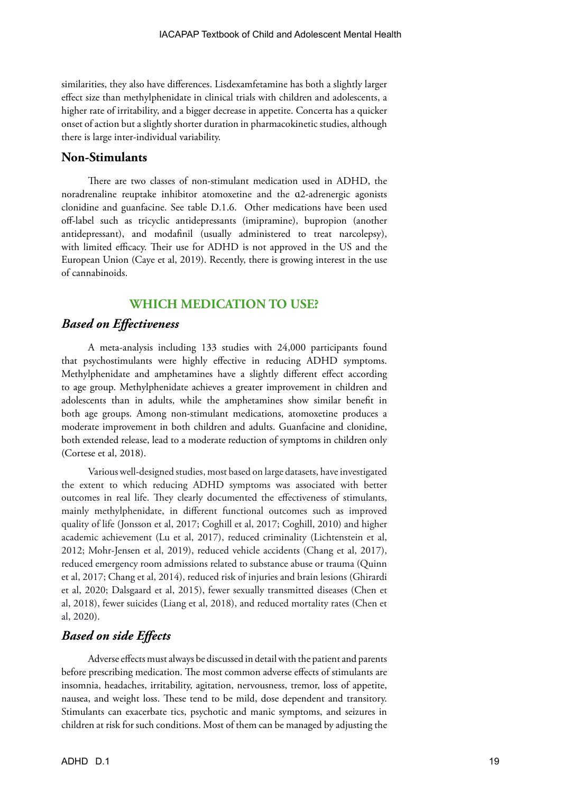similarities, they also have differences. Lisdexamfetamine has both a slightly larger effect size than methylphenidate in clinical trials with children and adolescents, a higher rate of irritability, and a bigger decrease in appetite. Concerta has a quicker onset of action but a slightly shorter duration in pharmacokinetic studies, although there is large inter-individual variability.

#### **Non-Stimulants**

There are two classes of non-stimulant medication used in ADHD, the noradrenaline reuptake inhibitor atomoxetine and the ɑ2-adrenergic agonists clonidine and guanfacine. See table D.1.6. Other medications have been used off-label such as tricyclic antidepressants (imipramine), bupropion (another antidepressant), and modafinil (usually administered to treat narcolepsy), with limited efficacy. Their use for ADHD is not approved in the US and the European Union (Caye et al, 2019). Recently, there is growing interest in the use of cannabinoids.

## **WHICH MEDICATION TO USE?**

#### *Based on Effectiveness*

A meta-analysis including 133 studies with 24,000 participants found that psychostimulants were highly effective in reducing ADHD symptoms. Methylphenidate and amphetamines have a slightly different effect according to age group. Methylphenidate achieves a greater improvement in children and adolescents than in adults, while the amphetamines show similar benefit in both age groups. Among non-stimulant medications, atomoxetine produces a moderate improvement in both children and adults. Guanfacine and clonidine, both extended release, lead to a moderate reduction of symptoms in children only (Cortese et al, 2018).

Various well-designed studies, most based on large datasets, have investigated the extent to which reducing ADHD symptoms was associated with better outcomes in real life. They clearly documented the effectiveness of stimulants, mainly methylphenidate, in different functional outcomes such as improved quality of life (Jonsson et al, 2017; Coghill et al, 2017; Coghill, 2010) and higher academic achievement (Lu et al, 2017), reduced criminality (Lichtenstein et al, 2012; Mohr-Jensen et al, 2019), reduced vehicle accidents (Chang et al, 2017), reduced emergency room admissions related to substance abuse or trauma (Quinn et al, 2017; Chang et al, 2014), reduced risk of injuries and brain lesions (Ghirardi et al, 2020; Dalsgaard et al, 2015), fewer sexually transmitted diseases (Chen et al, 2018), fewer suicides (Liang et al, 2018), and reduced mortality rates (Chen et al, 2020).

#### *Based on side Effects*

Adverse effects must always be discussed in detail with the patient and parents before prescribing medication. The most common adverse effects of stimulants are insomnia, headaches, irritability, agitation, nervousness, tremor, loss of appetite, nausea, and weight loss. These tend to be mild, dose dependent and transitory. Stimulants can exacerbate tics, psychotic and manic symptoms, and seizures in children at risk for such conditions. Most of them can be managed by adjusting the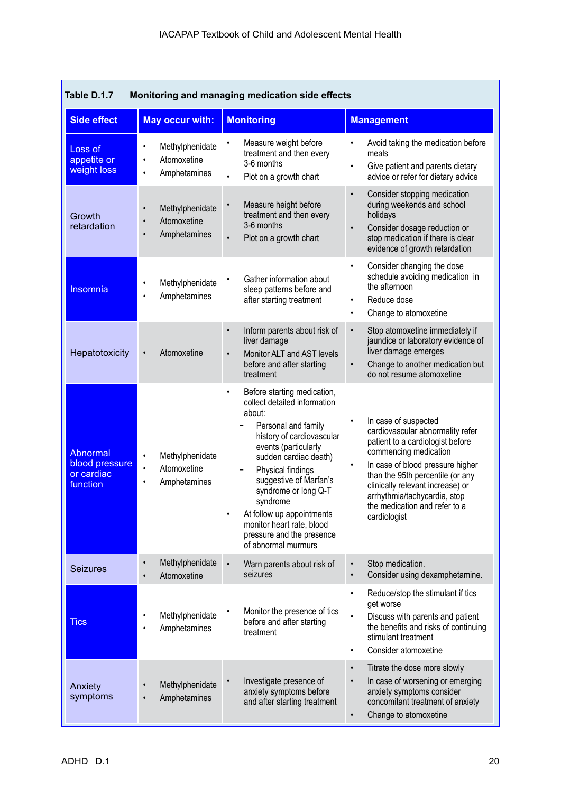| Table D.1.7<br>Monitoring and managing medication side effects |                                                                                       |                                                                                                                                                                                                                                                                                                                                                                                          |                                                                                                                                                                                                                                                                                                                    |  |  |
|----------------------------------------------------------------|---------------------------------------------------------------------------------------|------------------------------------------------------------------------------------------------------------------------------------------------------------------------------------------------------------------------------------------------------------------------------------------------------------------------------------------------------------------------------------------|--------------------------------------------------------------------------------------------------------------------------------------------------------------------------------------------------------------------------------------------------------------------------------------------------------------------|--|--|
| <b>Side effect</b>                                             | <b>May occur with:</b>                                                                | <b>Monitoring</b>                                                                                                                                                                                                                                                                                                                                                                        | <b>Management</b>                                                                                                                                                                                                                                                                                                  |  |  |
| Loss of<br>appetite or<br>weight loss                          | Methylphenidate<br>٠<br>Atomoxetine<br>$\bullet$<br>Amphetamines<br>$\bullet$         | Measure weight before<br>treatment and then every<br>3-6 months<br>Plot on a growth chart<br>$\bullet$                                                                                                                                                                                                                                                                                   | Avoid taking the medication before<br>meals<br>Give patient and parents dietary<br>٠<br>advice or refer for dietary advice                                                                                                                                                                                         |  |  |
| Growth<br>retardation                                          | Methylphenidate<br>$\bullet$<br>Atomoxetine<br>$\bullet$<br>Amphetamines<br>$\bullet$ | Measure height before<br>treatment and then every<br>3-6 months<br>Plot on a growth chart<br>$\bullet$                                                                                                                                                                                                                                                                                   | Consider stopping medication<br>$\bullet$<br>during weekends and school<br>holidays<br>Consider dosage reduction or<br>$\bullet$<br>stop medication if there is clear<br>evidence of growth retardation                                                                                                            |  |  |
| Insomnia                                                       | Methylphenidate<br>$\bullet$<br>Amphetamines<br>٠                                     | Gather information about<br>sleep patterns before and<br>after starting treatment                                                                                                                                                                                                                                                                                                        | Consider changing the dose<br>$\bullet$<br>schedule avoiding medication in<br>the afternoon<br>Reduce dose<br>$\bullet$<br>Change to atomoxetine<br>$\bullet$                                                                                                                                                      |  |  |
| Hepatotoxicity                                                 | Atomoxetine<br>$\bullet$                                                              | Inform parents about risk of<br>$\bullet$<br>liver damage<br>Monitor ALT and AST levels<br>$\bullet$<br>before and after starting<br>treatment                                                                                                                                                                                                                                           | Stop atomoxetine immediately if<br>$\bullet$<br>jaundice or laboratory evidence of<br>liver damage emerges<br>Change to another medication but<br>$\bullet$<br>do not resume atomoxetine                                                                                                                           |  |  |
| Abnormal<br>blood pressure<br>or cardiac<br>function           | Methylphenidate<br>$\bullet$<br>Atomoxetine<br>$\bullet$<br>Amphetamines<br>$\bullet$ | Before starting medication,<br>$\bullet$<br>collect detailed information<br>about:<br>Personal and family<br>history of cardiovascular<br>events (particularly<br>sudden cardiac death)<br>Physical findings<br>suggestive of Marfan's<br>syndrome or long Q-T<br>syndrome<br>At follow up appointments<br>monitor heart rate, blood<br>pressure and the presence<br>of abnormal murmurs | In case of suspected<br>cardiovascular abnormality refer<br>patient to a cardiologist before<br>commencing medication<br>In case of blood pressure higher<br>than the 95th percentile (or any<br>clinically relevant increase) or<br>arrhythmia/tachycardia, stop<br>the medication and refer to a<br>cardiologist |  |  |
| <b>Seizures</b>                                                | Methylphenidate<br>$\bullet$<br>Atomoxetine                                           | Warn parents about risk of<br>seizures                                                                                                                                                                                                                                                                                                                                                   | Stop medication.<br>$\bullet$<br>Consider using dexamphetamine.                                                                                                                                                                                                                                                    |  |  |
| <b>Tics</b>                                                    | Methylphenidate<br>٠<br>Amphetamines<br>$\bullet$                                     | Monitor the presence of tics<br>before and after starting<br>treatment                                                                                                                                                                                                                                                                                                                   | Reduce/stop the stimulant if tics<br>get worse<br>Discuss with parents and patient<br>the benefits and risks of continuing<br>stimulant treatment<br>Consider atomoxetine                                                                                                                                          |  |  |
| Anxiety<br>symptoms                                            | Methylphenidate<br>$\bullet$<br>Amphetamines<br>$\bullet$                             | Investigate presence of<br>anxiety symptoms before<br>and after starting treatment                                                                                                                                                                                                                                                                                                       | Titrate the dose more slowly<br>$\bullet$<br>In case of worsening or emerging<br>$\bullet$<br>anxiety symptoms consider<br>concomitant treatment of anxiety<br>Change to atomoxetine<br>$\bullet$                                                                                                                  |  |  |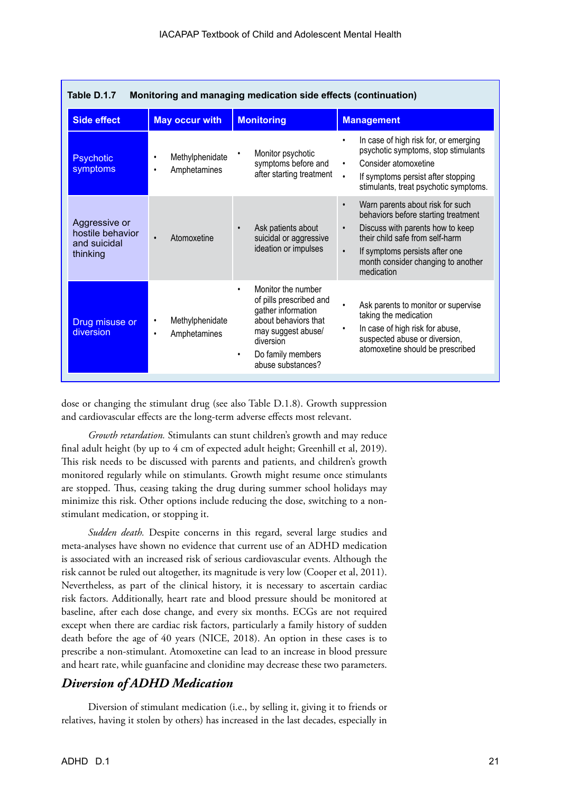| Taple D.T.7<br><u>Monitoring and managing medication side effects (continuation)</u> |                                                   |                                                                                                                                                                                                    |                                                                                                                                                                                                                                                                             |  |  |
|--------------------------------------------------------------------------------------|---------------------------------------------------|----------------------------------------------------------------------------------------------------------------------------------------------------------------------------------------------------|-----------------------------------------------------------------------------------------------------------------------------------------------------------------------------------------------------------------------------------------------------------------------------|--|--|
| <b>Side effect</b>                                                                   | <b>May occur with</b>                             | <b>Monitoring</b>                                                                                                                                                                                  | <b>Management</b>                                                                                                                                                                                                                                                           |  |  |
| <b>Psychotic</b><br>symptoms                                                         | Methylphenidate<br>٠<br>Amphetamines<br>$\bullet$ | Monitor psychotic<br>٠<br>symptoms before and<br>after starting treatment                                                                                                                          | In case of high risk for, or emerging<br>psychotic symptoms, stop stimulants<br>Consider atomoxetine<br>٠<br>If symptoms persist after stopping<br>$\bullet$<br>stimulants, treat psychotic symptoms.                                                                       |  |  |
| Aggressive or<br>hostile behavior<br>and suicidal<br>thinking                        | Atomoxetine<br>$\bullet$                          | Ask patients about<br>$\bullet$<br>suicidal or aggressive<br>ideation or impulses                                                                                                                  | Warn parents about risk for such<br>$\bullet$<br>behaviors before starting treatment<br>Discuss with parents how to keep<br>$\bullet$<br>their child safe from self-harm<br>If symptoms persists after one<br>$\bullet$<br>month consider changing to another<br>medication |  |  |
| Drug misuse or<br>diversion                                                          | Methylphenidate<br>٠<br>Amphetamines<br>$\bullet$ | Monitor the number<br>$\bullet$<br>of pills prescribed and<br>gather information<br>about behaviors that<br>may suggest abuse/<br>diversion<br>Do family members<br>$\bullet$<br>abuse substances? | Ask parents to monitor or supervise<br>taking the medication<br>In case of high risk for abuse,<br>suspected abuse or diversion,<br>atomoxetine should be prescribed                                                                                                        |  |  |

| Table D.1.7 | Monitoring and managing medication side effects (continuation) |  |
|-------------|----------------------------------------------------------------|--|
|-------------|----------------------------------------------------------------|--|

dose or changing the stimulant drug (see also Table D.1.8). Growth suppression and cardiovascular effects are the long-term adverse effects most relevant.

*Growth retardation.* Stimulants can stunt children's growth and may reduce final adult height (by up to 4 cm of expected adult height; Greenhill et al, 2019). This risk needs to be discussed with parents and patients, and children's growth monitored regularly while on stimulants. Growth might resume once stimulants are stopped. Thus, ceasing taking the drug during summer school holidays may minimize this risk. Other options include reducing the dose, switching to a nonstimulant medication, or stopping it.

*Sudden death.* Despite concerns in this regard, several large studies and meta-analyses have shown no evidence that current use of an ADHD medication is associated with an increased risk of serious cardiovascular events. Although the risk cannot be ruled out altogether, its magnitude is very low (Cooper et al, 2011). Nevertheless, as part of the clinical history, it is necessary to ascertain cardiac risk factors. Additionally, heart rate and blood pressure should be monitored at baseline, after each dose change, and every six months. ECGs are not required except when there are cardiac risk factors, particularly a family history of sudden death before the age of 40 years (NICE, 2018). An option in these cases is to prescribe a non-stimulant. Atomoxetine can lead to an increase in blood pressure and heart rate, while guanfacine and clonidine may decrease these two parameters.

## *Diversion of ADHD Medication*

Diversion of stimulant medication (i.e., by selling it, giving it to friends or relatives, having it stolen by others) has increased in the last decades, especially in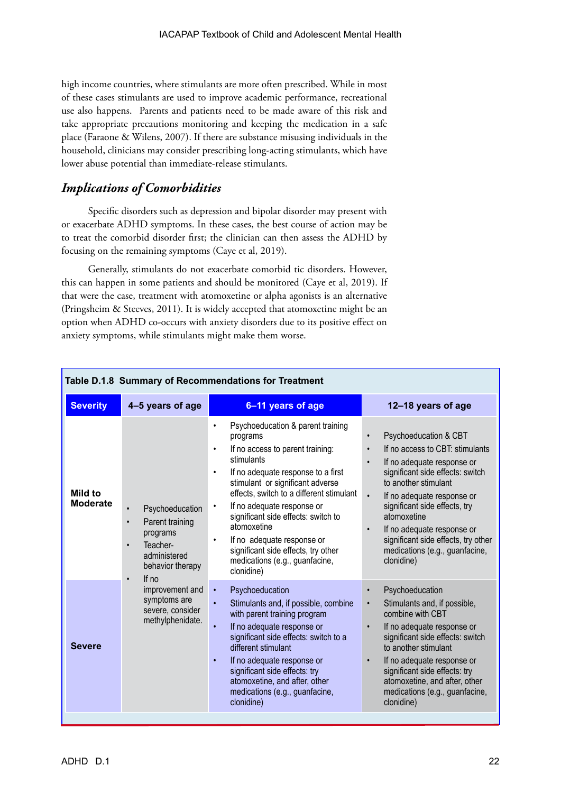high income countries, where stimulants are more often prescribed. While in most of these cases stimulants are used to improve academic performance, recreational use also happens. Parents and patients need to be made aware of this risk and take appropriate precautions monitoring and keeping the medication in a safe place (Faraone & Wilens, 2007). If there are substance misusing individuals in the household, clinicians may consider prescribing long-acting stimulants, which have lower abuse potential than immediate-release stimulants.

## *Implications of Comorbidities*

Specific disorders such as depression and bipolar disorder may present with or exacerbate ADHD symptoms. In these cases, the best course of action may be to treat the comorbid disorder first; the clinician can then assess the ADHD by focusing on the remaining symptoms (Caye et al, 2019).

Generally, stimulants do not exacerbate comorbid tic disorders. However, this can happen in some patients and should be monitored (Caye et al, 2019). If that were the case, treatment with atomoxetine or alpha agonists is an alternative (Pringsheim & Steeves, 2011). It is widely accepted that atomoxetine might be an option when ADHD co-occurs with anxiety disorders due to its positive effect on anxiety symptoms, while stimulants might make them worse.

| Table D.1.8 Summary of Recommendations for Treatment |                                                                                                                                                    |                                                                                                                                                                                                                                                                                                                                                                                                                                                                                 |                                                                                                                                                                                                                                                                                                                                                                                                           |  |  |  |  |
|------------------------------------------------------|----------------------------------------------------------------------------------------------------------------------------------------------------|---------------------------------------------------------------------------------------------------------------------------------------------------------------------------------------------------------------------------------------------------------------------------------------------------------------------------------------------------------------------------------------------------------------------------------------------------------------------------------|-----------------------------------------------------------------------------------------------------------------------------------------------------------------------------------------------------------------------------------------------------------------------------------------------------------------------------------------------------------------------------------------------------------|--|--|--|--|
| <b>Severity</b>                                      | 4-5 years of age                                                                                                                                   | 6-11 years of age                                                                                                                                                                                                                                                                                                                                                                                                                                                               | 12-18 years of age                                                                                                                                                                                                                                                                                                                                                                                        |  |  |  |  |
| Mild to<br><b>Moderate</b>                           | Psychoeducation<br>$\bullet$<br>Parent training<br>$\bullet$<br>programs<br>Teacher-<br>$\bullet$<br>administered<br>behavior therapy<br>$\bullet$ | Psychoeducation & parent training<br>٠<br>programs<br>If no access to parent training:<br>$\bullet$<br>stimulants<br>If no adequate response to a first<br>$\bullet$<br>stimulant or significant adverse<br>effects, switch to a different stimulant<br>If no adequate response or<br>٠<br>significant side effects: switch to<br>atomoxetine<br>If no adequate response or<br>$\bullet$<br>significant side effects, try other<br>medications (e.g., guanfacine,<br>clonidine) | Psychoeducation & CBT<br>If no access to CBT: stimulants<br>$\bullet$<br>If no adequate response or<br>$\bullet$<br>significant side effects: switch<br>to another stimulant<br>$\bullet$<br>If no adequate response or<br>significant side effects, try<br>atomoxetine<br>If no adequate response or<br>$\bullet$<br>significant side effects, try other<br>medications (e.g., guanfacine,<br>clonidine) |  |  |  |  |
| <b>Severe</b>                                        | If $no$<br>improvement and<br>symptoms are<br>severe, consider<br>methylphenidate.                                                                 | Psychoeducation<br>$\bullet$<br>$\bullet$<br>Stimulants and, if possible, combine<br>with parent training program<br>If no adequate response or<br>$\bullet$<br>significant side effects: switch to a<br>different stimulant<br>If no adequate response or<br>$\bullet$<br>significant side effects: try<br>atomoxetine, and after, other<br>medications (e.g., guanfacine,<br>clonidine)                                                                                       | Psychoeducation<br>Stimulants and, if possible,<br>$\bullet$<br>combine with CBT<br>If no adequate response or<br>$\bullet$<br>significant side effects: switch<br>to another stimulant<br>If no adequate response or<br>$\bullet$<br>significant side effects: try<br>atomoxetine, and after, other<br>medications (e.g., guanfacine,<br>clonidine)                                                      |  |  |  |  |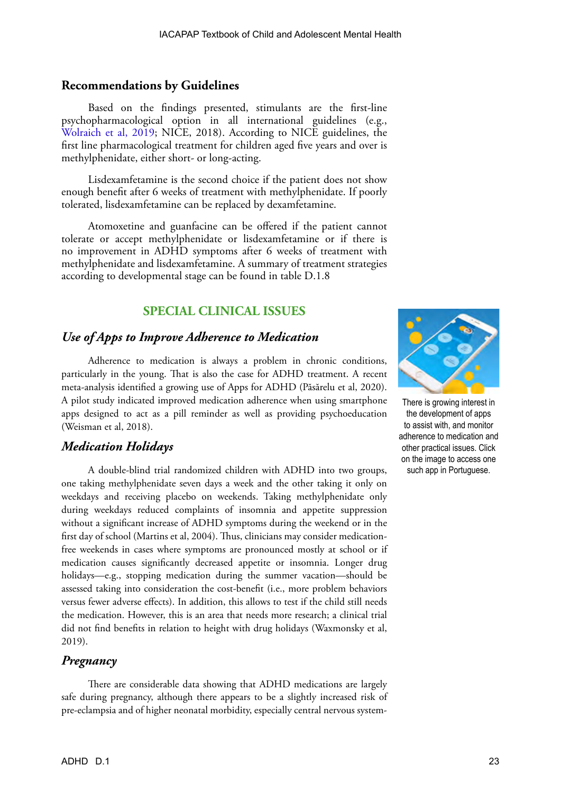#### **Recommendations by Guidelines**

Based on the findings presented, stimulants are the first-line psychopharmacological option in all international guidelines (e.g., [Wolraich et al, 2019](https://pediatrics.aappublications.org/content/144/4/e20192528); NICE, 2018). According to NICE guidelines, the first line pharmacological treatment for children aged five years and over is methylphenidate, either short- or long-acting.

Lisdexamfetamine is the second choice if the patient does not show enough benefit after 6 weeks of treatment with methylphenidate. If poorly tolerated, lisdexamfetamine can be replaced by dexamfetamine.

Atomoxetine and guanfacine can be offered if the patient cannot tolerate or accept methylphenidate or lisdexamfetamine or if there is no improvement in ADHD symptoms after 6 weeks of treatment with methylphenidate and lisdexamfetamine. A summary of treatment strategies according to developmental stage can be found in table D.1.8

## **SPECIAL CLINICAL ISSUES**

#### *Use of Apps to Improve Adherence to Medication*

Adherence to medication is always a problem in chronic conditions, particularly in the young. That is also the case for ADHD treatment. A recent meta-analysis identified a growing use of Apps for ADHD (Păsărelu et al, 2020). A pilot study indicated improved medication adherence when using smartphone apps designed to act as a pill reminder as well as providing psychoeducation (Weisman et al, 2018).

## *Medication Holidays*

A double-blind trial randomized children with ADHD into two groups, one taking methylphenidate seven days a week and the other taking it only on weekdays and receiving placebo on weekends. Taking methylphenidate only during weekdays reduced complaints of insomnia and appetite suppression without a significant increase of ADHD symptoms during the weekend or in the first day of school (Martins et al, 2004). Thus, clinicians may consider medicationfree weekends in cases where symptoms are pronounced mostly at school or if medication causes significantly decreased appetite or insomnia. Longer drug holidays—e.g., stopping medication during the summer vacation—should be assessed taking into consideration the cost-benefit (i.e., more problem behaviors versus fewer adverse effects). In addition, this allows to test if the child still needs the medication. However, this is an area that needs more research; a clinical trial did not find benefits in relation to height with drug holidays (Waxmonsky et al, 2019).

## *Pregnancy*

There are considerable data showing that ADHD medications are largely safe during pregnancy, although there appears to be a slightly increased risk of pre-eclampsia and of higher neonatal morbidity, especially central nervous system-



There is growing interest in the development of apps to assist with, and monitor adherence to medication and other practical issues. Click on the image to access one such app in Portuguese.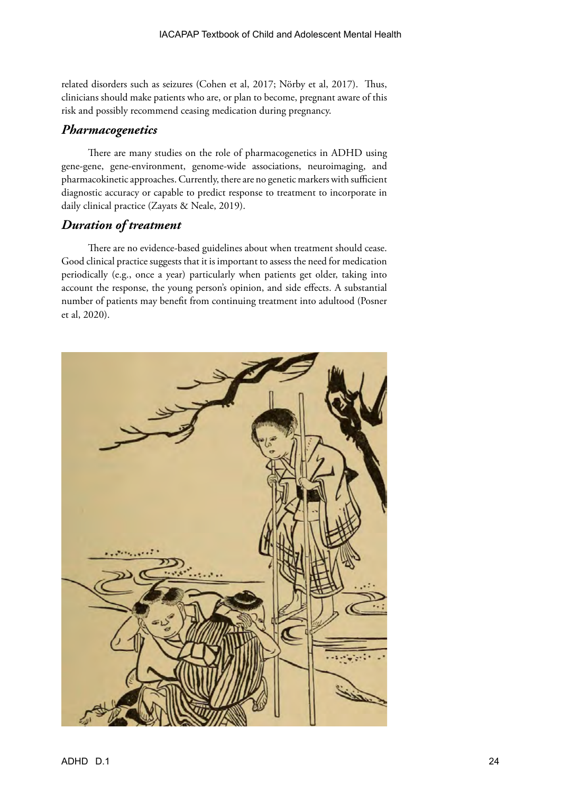related disorders such as seizures (Cohen et al, 2017; Nörby et al, 2017). Thus, clinicians should make patients who are, or plan to become, pregnant aware of this risk and possibly recommend ceasing medication during pregnancy.

## *Pharmacogenetics*

There are many studies on the role of pharmacogenetics in ADHD using gene-gene, gene-environment, genome-wide associations, neuroimaging, and pharmacokinetic approaches. Currently, there are no genetic markers with sufficient diagnostic accuracy or capable to predict response to treatment to incorporate in daily clinical practice (Zayats & Neale, 2019).

## *Duration of treatment*

There are no evidence-based guidelines about when treatment should cease. Good clinical practice suggests that it is important to assess the need for medication periodically (e.g., once a year) particularly when patients get older, taking into account the response, the young person's opinion, and side effects. A substantial number of patients may benefit from continuing treatment into adultood (Posner et al, 2020).

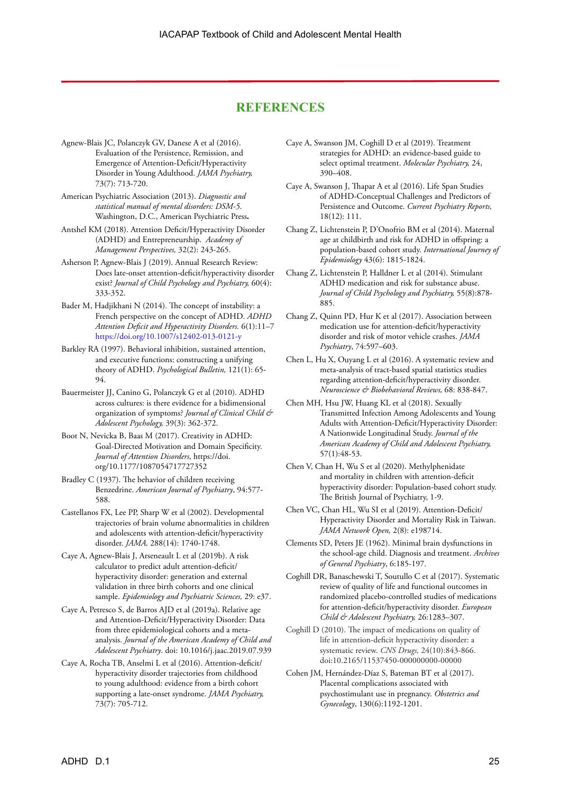#### **REFERENCES**

- Agnew-Blais JC, Polanczyk GV, Danese A et al (2016). Evaluation of the Persistence, Remission, and Emergence of Attention-Deficit/Hyperactivity Disorder in Young Adulthood. *JAMA Psychiatry,* 73(7): 713-720.
- American Psychiatric Association (2013). *Diagnostic and statistical manual of mental disorders: DSM-5*. Washington, D.C., American Psychiatric Press**.**
- Antshel KM (2018). Attention Deficit/Hyperactivity Disorder (ADHD) and Entrepreneurship.  *Academy of Management Perspectives,* 32(2): 243-265.
- Asherson P, Agnew-Blais J (2019). Annual Research Review: Does late-onset attention-deficit/hyperactivity disorder exist? *Journal of Child Psychology and Psychiatry,* 60(4): 333-352.
- Bader M, Hadjikhani N (2014). The concept of instability: a French perspective on the concept of ADHD. *ADHD Attention Deficit and Hyperactivity Disorders.* 6(1):11–7 <https://doi.org/10.1007/s12402-013-0121-y>
- Barkley RA (1997). Behavioral inhibition, sustained attention, and executive functions: constructing a unifying theory of ADHD. *Psychological Bulletin,* 121(1): 65- 94.
- Bauermeister JJ, Canino G, Polanczyk G et al (2010). ADHD across cultures: is there evidence for a bidimensional organization of symptoms? *Journal of Clinical Child & Adolescent Psychology,* 39(3): 362-372.
- Boot N, Nevicka B, Baas M (2017). Creativity in ADHD: Goal-Directed Motivation and Domain Specificity. *Journal of Attention Disorders*, https://doi. org/10.1177/1087054717727352
- Bradley C (1937). The behavior of children receiving Benzedrine. *American Journal of Psychiatry*, 94:577- 588.
- Castellanos FX, Lee PP, Sharp W et al (2002). Developmental trajectories of brain volume abnormalities in children and adolescents with attention-deficit/hyperactivity disorder. *JAMA,* 288(14): 1740-1748.
- Caye A, Agnew-Blais J, Arseneault L et al (2019b). A risk calculator to predict adult attention-deficit/ hyperactivity disorder: generation and external validation in three birth cohorts and one clinical sample. *Epidemiology and Psychiatric Sciences,* 29: e37.
- Caye A, Petresco S, de Barros AJD et al (2019a). Relative age and Attention-Deficit/Hyperactivity Disorder: Data from three epidemiological cohorts and a metaanalysis. *Journal of the American Academy of Child and Adolescent Psychiatry*. doi: 10.1016/j.jaac.2019.07.939
- Caye A, Rocha TB, Anselmi L et al (2016). Attention-deficit/ hyperactivity disorder trajectories from childhood to young adulthood: evidence from a birth cohort supporting a late-onset syndrome. *JAMA Psychiatry,* 73(7): 705-712.
- Caye A, Swanson JM, Coghill D et al (2019)*.* Treatment strategies for ADHD: an evidence-based guide to select optimal treatment. *Molecular Psychiatry,* 24, 390–408.
- Caye A, Swanson J, Thapar A et al (2016). Life Span Studies of ADHD-Conceptual Challenges and Predictors of Persistence and Outcome. *Current Psychiatry Reports,* 18(12): 111.
- Chang Z, Lichtenstein P, D'Onofrio BM et al (2014). Maternal age at childbirth and risk for ADHD in offspring: a population-based cohort study. *International Journey of Epidemiology* 43(6): 1815-1824.
- Chang Z, Lichtenstein P, Halldner L et al (2014). Stimulant ADHD medication and risk for substance abuse. *Journal of Child Psychology and Psychiatry,* 55(8):878- 885.
- Chang Z, Quinn PD, Hur K et al (2017). Association between medication use for attention-deficit/hyperactivity disorder and risk of motor vehicle crashes. *JAMA Psychiatry*, 74:597–603.
- Chen L, Hu X, Ouyang L et al (2016). A systematic review and meta-analysis of tract-based spatial statistics studies regarding attention-deficit/hyperactivity disorder. *Neuroscience & Biobehavioral Reviews,* 68: 838-847.
- Chen MH, Hsu JW, Huang KL et al (2018). Sexually Transmitted Infection Among Adolescents and Young Adults with Attention-Deficit/Hyperactivity Disorder: A Nationwide Longitudinal Study. *Journal of the American Academy of Child and Adolescent Psychiatry,*  57(1):48-53.
- Chen V, Chan H, Wu S et al (2020). Methylphenidate and mortality in children with attention-deficit hyperactivity disorder: Population-based cohort study. The British Journal of Psychiatry, 1-9.
- Chen VC, Chan HL, Wu SI et al (2019). Attention-Deficit/ Hyperactivity Disorder and Mortality Risk in Taiwan. *JAMA Network Open,* 2(8): e198714.
- Clements SD, Peters JE (1962). Minimal brain dysfunctions in the school-age child. Diagnosis and treatment. *Archives of General Psychiatry*, 6:185-197.
- Coghill DR, Banaschewski T, Soutullo C et al (2017). Systematic review of quality of life and functional outcomes in randomized placebo-controlled studies of medications for attention-deficit/hyperactivity disorder. *European Child & Adolescent Psychiatry,* 26:1283–307.
- Coghill D (2010). The impact of medications on quality of life in attention-deficit hyperactivity disorder: a systematic review. *CNS Drugs,* 24(10):843-866. doi:10.2165/11537450-000000000-00000
- Cohen JM, Hernández-Díaz S, Bateman BT et al (2017). Placental complications associated with psychostimulant use in pregnancy. *Obstetrics and Gynecology*, 130(6):1192-1201.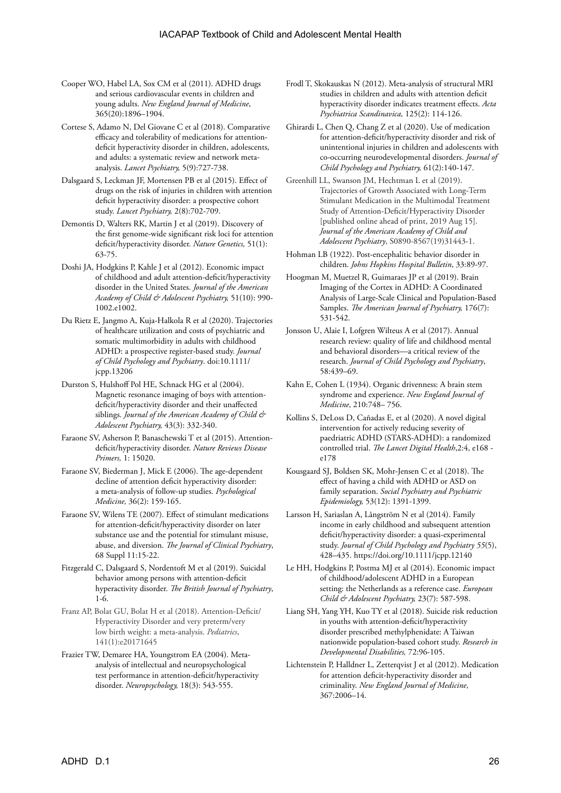- Cooper WO, Habel LA, Sox CM et al (2011). ADHD drugs and serious cardiovascular events in children and young adults. *New England Journal of Medicine*, 365(20):1896–1904.
- Cortese S, Adamo N, Del Giovane C et al (2018). Comparative efficacy and tolerability of medications for attentiondeficit hyperactivity disorder in children, adolescents, and adults: a systematic review and network metaanalysis. *Lancet Psychiatry,* 5(9):727-738.
- Dalsgaard S, Leckman JF, Mortensen PB et al (2015). Effect of drugs on the risk of injuries in children with attention deficit hyperactivity disorder: a prospective cohort study. *Lancet Psychiatry,* 2(8):702-709.
- Demontis D, Walters RK, Martin J et al (2019). Discovery of the first genome-wide significant risk loci for attention deficit/hyperactivity disorder. *Nature Genetics,* 51(1): 63-75.
- Doshi JA, Hodgkins P, Kahle J et al (2012). Economic impact of childhood and adult attention-deficit/hyperactivity disorder in the United States. *Journal of the American Academy of Child & Adolescent Psychiatry,* 51(10): 990- 1002.e1002.
- Du Rietz E, Jangmo A, Kuja-Halkola R et al (2020). Trajectories of healthcare utilization and costs of psychiatric and somatic multimorbidity in adults with childhood ADHD: a prospective register-based study. *Journal of Child Psychology and Psychiatry*. doi:10.1111/ jcpp.13206
- Durston S, Hulshoff Pol HE, Schnack HG et al (2004). Magnetic resonance imaging of boys with attentiondeficit/hyperactivity disorder and their unaffected siblings. *Journal of the American Academy of Child & Adolescent Psychiatry,* 43(3): 332-340.
- Faraone SV, Asherson P, Banaschewski T et al (2015). Attentiondeficit/hyperactivity disorder. *Nature Reviews Disease Primers,* 1: 15020.
- Faraone SV, Biederman J, Mick E (2006). The age-dependent decline of attention deficit hyperactivity disorder: a meta-analysis of follow-up studies. *Psychological Medicine,* 36(2): 159-165.
- Faraone SV, Wilens TE (2007). Effect of stimulant medications for attention-deficit/hyperactivity disorder on later substance use and the potential for stimulant misuse, abuse, and diversion. *The Journal of Clinical Psychiatry*, 68 Suppl 11:15-22.
- Fitzgerald C, Dalsgaard S, Nordentoft M et al (2019). Suicidal behavior among persons with attention-deficit hyperactivity disorder. *The British Journal of Psychiatry*, 1-6.
- Franz AP, Bolat GU, Bolat H et al (2018). Attention-Deficit/ Hyperactivity Disorder and very preterm/very low birth weight: a meta-analysis. *Pediatrics*, 141(1):e20171645
- Frazier TW, Demaree HA, Youngstrom EA (2004). Metaanalysis of intellectual and neuropsychological test performance in attention-deficit/hyperactivity disorder. *Neuropsychology,* 18(3): 543-555.
- Frodl T, Skokauskas N (2012). Meta-analysis of structural MRI studies in children and adults with attention deficit hyperactivity disorder indicates treatment effects. *Acta Psychiatrica Scandinavica,* 125(2): 114-126.
- Ghirardi L, Chen Q, Chang Z et al (2020). Use of medication for attention-deficit/hyperactivity disorder and risk of unintentional injuries in children and adolescents with co-occurring neurodevelopmental disorders. *Journal of Child Psychology and Psychiatry,* 61(2):140-147.
- Greenhill LL, Swanson JM, Hechtman L et al (2019). Trajectories of Growth Associated with Long-Term Stimulant Medication in the Multimodal Treatment Study of Attention-Deficit/Hyperactivity Disorder [published online ahead of print, 2019 Aug 15]. *Journal of the American Academy of Child and Adolescent Psychiatry*, S0890-8567(19)31443-1.
- Hohman LB (1922). Post-encephalitic behavior disorder in children. *Johns Hopkins Hospital Bulletin*, 33:89-97.
- Hoogman M, Muetzel R, Guimaraes JP et al (2019). Brain Imaging of the Cortex in ADHD: A Coordinated Analysis of Large-Scale Clinical and Population-Based Samples. *The American Journal of Psychiatry,* 176(7): 531-542.
- Jonsson U, Alaie I, Lofgren Wilteus A et al (2017). Annual research review: quality of life and childhood mental and behavioral disorders—a critical review of the research. *Journal of Child Psychology and Psychiatry*, 58:439–69.
- Kahn E, Cohen L (1934). Organic drivenness: A brain stem syndrome and experience. *New England Journal of Medicine*, 210:748– 756.
- Kollins S, DeLoss D, Cañadas E, et al (2020). A novel digital intervention for actively reducing severity of paedriatric ADHD (STARS-ADHD): a randomized controlled trial. *The Lancet Digital Health*,2:4, e168 e178
- Kousgaard SJ, Boldsen SK, Mohr-Jensen C et al (2018). The effect of having a child with ADHD or ASD on family separation. *Social Psychiatry and Psychiatric Epidemiology,* 53(12): 1391-1399.
- Larsson H, Sariaslan A, Långström N et al (2014). Family income in early childhood and subsequent attention deficit/hyperactivity disorder: a quasi-experimental study. *Journal of Child Psychology and Psychiatry 55*(5), 428–435. https://doi.org/10.1111/jcpp.12140
- Le HH, Hodgkins P, Postma MJ et al (2014). Economic impact of childhood/adolescent ADHD in a European setting: the Netherlands as a reference case. *European Child & Adolescent Psychiatry,* 23(7): 587-598.
- Liang SH, Yang YH, Kuo TY et al (2018). Suicide risk reduction in youths with attention-deficit/hyperactivity disorder prescribed methylphenidate: A Taiwan nationwide population-based cohort study. *Research in Developmental Disabilities,* 72:96-105.
- Lichtenstein P, Halldner L, Zetterqvist J et al (2012). Medication for attention deficit-hyperactivity disorder and criminality. *New England Journal of Medicine*, 367:2006–14.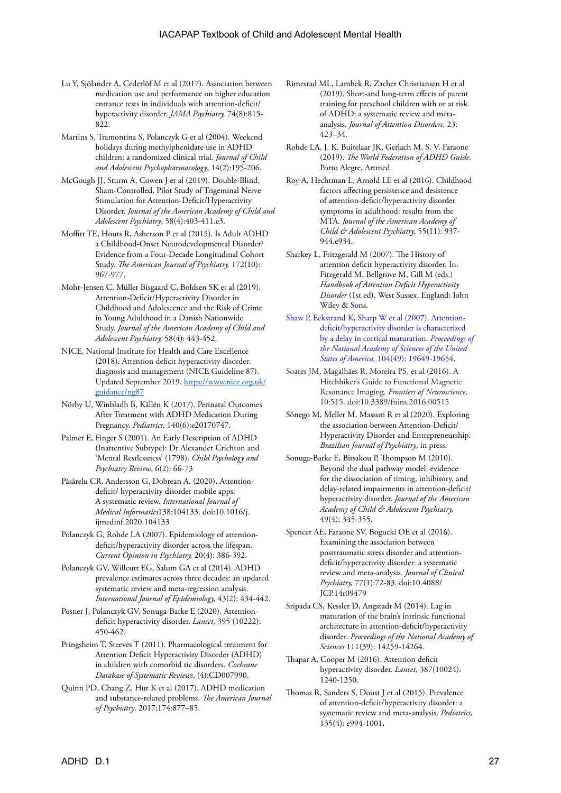- Lu Y, Sjölander A, Cederlöf M et al (2017). Association between medication use and performance on higher education entrance tests in individuals with attention-deficit/ hyperactivity disorder. *JAMA Psychiatry,* 74(8):815- 822.
- Martins S, Tramontina S, Polanczyk G et al (2004). Weekend holidays during methylphenidate use in ADHD children: a randomized clinical trial. *Journal of Child and Adolescent Psychopharmacology*, 14(2):195-206.
- McGough JJ, Sturm A, Cowen J et al (2019). Double-Blind, Sham-Controlled, Pilot Study of Trigeminal Nerve Stimulation for Attention-Deficit/Hyperactivity Disorder. *Journal of the American Academy of Child and Adolescent Psychiatry*, 58(4):403‐411.e3.
- Moffitt TE, Houts R, Asherson P et al (2015). Is Adult ADHD a Childhood-Onset Neurodevelopmental Disorder? Evidence from a Four-Decade Longitudinal Cohort Study. *The American Journal of Psychiatry,* 172(10): 967-977.
- Mohr-Jensen C, Müller Bisgaard C, Boldsen SK et al (2019). Attention-Deficit/Hyperactivity Disorder in Childhood and Adolescence and the Risk of Crime in Young Adulthood in a Danish Nationwide Study. *Journal of the American Academy of Child and Adolescent Psychiatry,* 58(4): 443-452.
- NICE, National Institute for Health and Care Excellence (2018). Attention deficit hyperactivity disorder: diagnosis and management (NICE Guideline 87). Updated September 2019. [https://www.nice.org.uk/](https://www.nice.org.uk/guidance/ng87) [guidance/ng87](https://www.nice.org.uk/guidance/ng87)
- Nörby U, Winbladh B, Källén K (2017). Perinatal Outcomes After Treatment with ADHD Medication During Pregnancy. *Pediatrics*, 140(6):e20170747.
- Palmer E, Finger S (2001). An Early Description of ADHD (Inattentive Subtype): Dr Alexander Crichton and 'Mental Restlessness' (1798). *Child Psychology and Psychiatry Review*, 6(2): 66-73
- Păsărelu CR, Andersson G, Dobrean A. (2020). Attentiondeficit/ hyperactivity disorder mobile apps: A systematic review. *International Journal of Medical Informatics*138:104133. doi:10.1016/j. ijmedinf.2020.104133
- Polanczyk G, Rohde LA (2007). Epidemiology of attentiondeficit/hyperactivity disorder across the lifespan. *Current Opinion in Psychiatry,* 20(4): 386-392.
- Polanczyk GV, Willcutt EG, Salum GA et al (2014). ADHD prevalence estimates across three decades: an updated systematic review and meta-regression analysis. *International Journal of Epidemiology,* 43(2): 434-442.
- Posner J, Polanczyk GV, Sonuga-Barke E (2020). Attentiondeficit hyperactivity disorder. *Lancet,* 395 (10222): 450-462.
- Pringsheim T, Steeves T (2011). Pharmacological treatment for Attention Deficit Hyperactivity Disorder (ADHD) in children with comorbid tic disorders. *Cochrane Database of Systematic Reviews*, (4):CD007990.
- Quinn PD, Chang Z, Hur K et al (2017). ADHD medication and substance-related problems. *The American Journal of Psychiatry*. 2017;174:877–85.
- Rimestad ML, Lambek R, Zacher Christiansen H et al (2019). Short-and long-term effects of parent training for preschool children with or at risk of ADHD: a systematic review and metaanalysis. *Journal of Attention Disorders*, 23: 423–34.
- Rohde LA, J. K. Buitelaar JK, Gerlach M, S. V. Faraone (2019). *The World Federation of ADHD Guide*. Porto Alegre, Artmed.
- Roy A, Hechtman L, Arnold LE et al (2016). Childhood factors affecting persistence and desistence of attention-deficit/hyperactivity disorder symptoms in adulthood: results from the MTA. *Journal of the American Academy of Child & Adolescent Psychiatry,* 55(11): 937- 944.e934.
- Sharkey L, Fritzgerald M (2007). The History of attention deficit hyperactivity disorder. In: Fitzgerald M, Bellgrove M, Gill M (eds.) *Handbook of Attention Deficit Hyperactivity Disorder* (1st ed)*.* West Sussex, England: John Wiley & Sons.
- [Shaw P, Eckstrand K, Sharp W et al \(2007\). Attention](https://www.pnas.org/content/pnas/104/49/19649.full.pdf?gca=0707741104v1&sendit=Get%20All%20Checked%20Abstract%252528s%252529)[deficit/hyperactivity disorder is characterized](https://www.pnas.org/content/pnas/104/49/19649.full.pdf?gca=0707741104v1&sendit=Get%20All%20Checked%20Abstract%252528s%252529)  [by a delay in cortical maturation.](https://www.pnas.org/content/pnas/104/49/19649.full.pdf?gca=0707741104v1&sendit=Get%20All%20Checked%20Abstract%252528s%252529) *Proceedings of [the National Academy of Sciences of the United](https://www.pnas.org/content/pnas/104/49/19649.full.pdf?gca=0707741104v1&sendit=Get%20All%20Checked%20Abstract%252528s%252529)  States of America,* [104\(49\): 19649-19654.](https://www.pnas.org/content/pnas/104/49/19649.full.pdf?gca=0707741104v1&sendit=Get%20All%20Checked%20Abstract%252528s%252529)
- Soares JM, Magalhães R, Moreira PS, et al (2016). A Hitchhiker's Guide to Functional Magnetic Resonance Imaging. *Frontiers of Neuroscience,*  10:515. doi:10.3389/fnins.2016.00515
- Sônego M, Meller M, Massuti R et al (2020). Exploring the association between Attention-Deficit/ Hyperactivity Disorder and Entrepreneurship. *Brazilian Journal of Psychiatry*, in press.
- Sonuga-Barke E, Bitsakou P, Thompson M (2010). Beyond the dual pathway model: evidence for the dissociation of timing, inhibitory, and delay-related impairments in attention-deficit/ hyperactivity disorder. *Journal of the American Academy of Child & Adolescent Psychiatry,* 49(4): 345-355.
- Spencer AE, Faraone SV, Bogucki OE et al (2016). Examining the association between posttraumatic stress disorder and attentiondeficit/hyperactivity disorder: a systematic review and meta-analysis. *Journal of Clinical Psychiatry,* 77(1):72-83. doi:10.4088/ JCP.14r09479
- Sripada CS, Kessler D, Angstadt M (2014). Lag in maturation of the brain's intrinsic functional architecture in attention-deficit/hyperactivity disorder. *Proceedings of the National Academy of Sciences* 111(39): 14259-14264.
- Thapar A, Cooper M (2016). Attention deficit hyperactivity disorder. *Lancet,* 387(10024): 1240-1250.
- Thomas R, Sanders S, Doust J et al (2015). Prevalence of attention-deficit/hyperactivity disorder: a systematic review and meta-analysis. *Pediatrics,* 135(4): e994-1001**.**